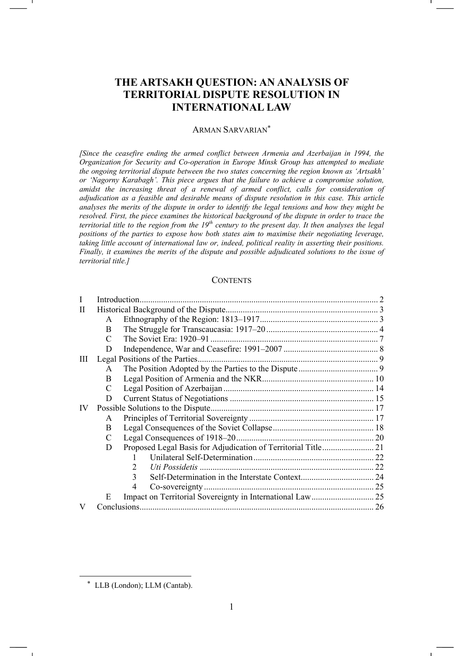# **THE ARTSAKH QUESTION: AN ANALYSIS OF TERRITORIAL DISPUTE RESOLUTION IN INTERNATIONAL LAW**

### ARMAN SARVARIAN\*

*[Since the ceasefire ending the armed conflict between Armenia and Azerbaijan in 1994, the Organization for Security and Co-operation in Europe Minsk Group has attempted to mediate the ongoing territorial dispute between the two states concerning the region known as 'Artsakh' or 'Nagorny Karabagh'. This piece argues that the failure to achieve a compromise solution, amidst the increasing threat of a renewal of armed conflict, calls for consideration of adjudication as a feasible and desirable means of dispute resolution in this case. This article analyses the merits of the dispute in order to identify the legal tensions and how they might be resolved. First, the piece examines the historical background of the dispute in order to trace the territorial title to the region from the 19th century to the present day. It then analyses the legal positions of the parties to expose how both states aim to maximise their negotiating leverage, taking little account of international law or, indeed, political reality in asserting their positions. Finally, it examines the merits of the dispute and possible adjudicated solutions to the issue of territorial title.]* 

### **CONTENTS**

|    | Introduction. |                      |  |
|----|---------------|----------------------|--|
| Н  |               |                      |  |
|    | A             |                      |  |
|    | <sub>B</sub>  |                      |  |
|    | $\mathcal{C}$ |                      |  |
|    | D             |                      |  |
| Ш  |               |                      |  |
|    | A             |                      |  |
|    | B.            |                      |  |
|    | C             |                      |  |
|    | D             |                      |  |
| IV |               |                      |  |
|    | A             |                      |  |
|    | <sub>B</sub>  |                      |  |
|    | C             |                      |  |
|    | D             |                      |  |
|    |               |                      |  |
|    |               | Uti Possidetis.<br>2 |  |
|    |               | 3                    |  |
|    |               | 4                    |  |
|    | E             |                      |  |
|    |               |                      |  |

 <sup>\*</sup> LLB (London); LLM (Cantab).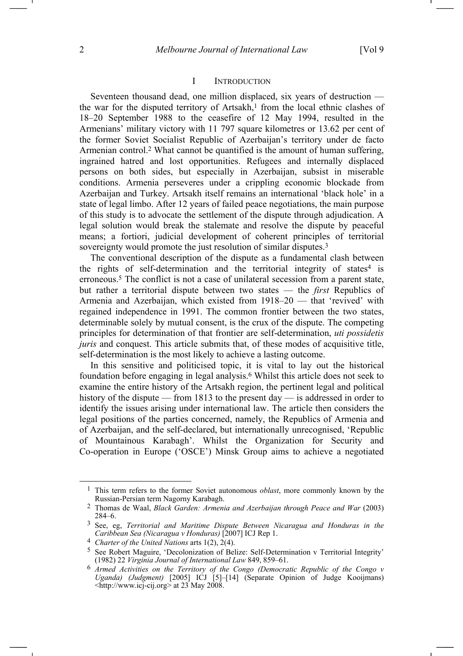# I INTRODUCTION

Seventeen thousand dead, one million displaced, six years of destruction the war for the disputed territory of Artsakh,<sup>1</sup> from the local ethnic clashes of 18–20 September 1988 to the ceasefire of 12 May 1994, resulted in the Armenians' military victory with 11 797 square kilometres or 13.62 per cent of the former Soviet Socialist Republic of Azerbaijan's territory under de facto Armenian control.2 What cannot be quantified is the amount of human suffering, ingrained hatred and lost opportunities. Refugees and internally displaced persons on both sides, but especially in Azerbaijan, subsist in miserable conditions. Armenia perseveres under a crippling economic blockade from Azerbaijan and Turkey. Artsakh itself remains an international 'black hole' in a state of legal limbo. After 12 years of failed peace negotiations, the main purpose of this study is to advocate the settlement of the dispute through adjudication. A legal solution would break the stalemate and resolve the dispute by peaceful means; a fortiori, judicial development of coherent principles of territorial sovereignty would promote the just resolution of similar disputes.<sup>3</sup>

The conventional description of the dispute as a fundamental clash between the rights of self-determination and the territorial integrity of states<sup>4</sup> is erroneous.5 The conflict is not a case of unilateral secession from a parent state, but rather a territorial dispute between two states — the *first* Republics of Armenia and Azerbaijan, which existed from 1918–20 — that 'revived' with regained independence in 1991. The common frontier between the two states, determinable solely by mutual consent, is the crux of the dispute. The competing principles for determination of that frontier are self-determination, *uti possidetis juris* and conquest. This article submits that, of these modes of acquisitive title, self-determination is the most likely to achieve a lasting outcome.

In this sensitive and politicised topic, it is vital to lay out the historical foundation before engaging in legal analysis.6 Whilst this article does not seek to examine the entire history of the Artsakh region, the pertinent legal and political history of the dispute — from 1813 to the present day — is addressed in order to identify the issues arising under international law. The article then considers the legal positions of the parties concerned, namely, the Republics of Armenia and of Azerbaijan, and the self-declared, but internationally unrecognised, 'Republic of Mountainous Karabagh'. Whilst the Organization for Security and Co-operation in Europe ('OSCE') Minsk Group aims to achieve a negotiated

 <sup>1</sup> This term refers to the former Soviet autonomous *oblast*, more commonly known by the Russian-Persian term Nagorny Karabagh.

<sup>2</sup> Thomas de Waal, *Black Garden: Armenia and Azerbaijan through Peace and War* (2003) 284–6.

<sup>3</sup> See, eg, *Territorial and Maritime Dispute Between Nicaragua and Honduras in the Caribbean Sea (Nicaragua v Honduras)* [2007] ICJ Rep 1.

<sup>4</sup> *Charter of the United Nations* arts 1(2), 2(4).

<sup>5</sup> See Robert Maguire, 'Decolonization of Belize: Self-Determination v Territorial Integrity' (1982) 22 *Virginia Journal of International Law* 849, 859–61.

<sup>6</sup> *Armed Activities on the Territory of the Congo (Democratic Republic of the Congo v Uganda) (Judgment)* [2005] ICJ [5]-[14] (Separate Opinion of Judge Kooijmans)  $\leq$ http://www.icj-cij.org> at 23 May 2008.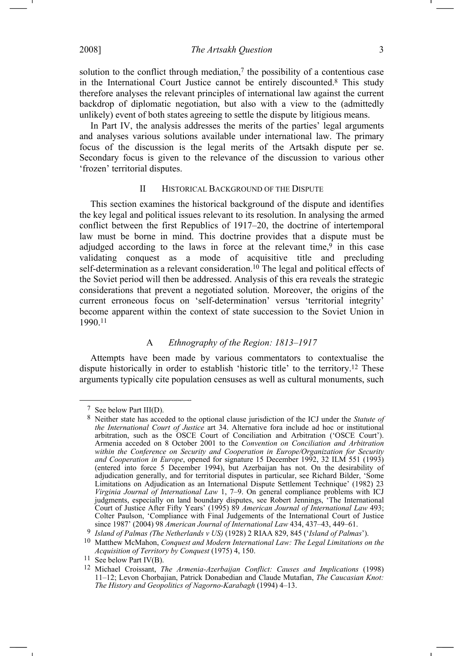2008] *The Artsakh Question* 3

solution to the conflict through mediation, $\bar{7}$  the possibility of a contentious case in the International Court Justice cannot be entirely discounted.8 This study therefore analyses the relevant principles of international law against the current backdrop of diplomatic negotiation, but also with a view to the (admittedly unlikely) event of both states agreeing to settle the dispute by litigious means.

In Part IV, the analysis addresses the merits of the parties' legal arguments and analyses various solutions available under international law. The primary focus of the discussion is the legal merits of the Artsakh dispute per se. Secondary focus is given to the relevance of the discussion to various other 'frozen' territorial disputes.

### II HISTORICAL BACKGROUND OF THE DISPUTE

This section examines the historical background of the dispute and identifies the key legal and political issues relevant to its resolution. In analysing the armed conflict between the first Republics of 1917–20, the doctrine of intertemporal law must be borne in mind. This doctrine provides that a dispute must be adjudged according to the laws in force at the relevant time, $9$  in this case validating conquest as a mode of acquisitive title and precluding self-determination as a relevant consideration.10 The legal and political effects of the Soviet period will then be addressed. Analysis of this era reveals the strategic considerations that prevent a negotiated solution. Moreover, the origins of the current erroneous focus on 'self-determination' versus 'territorial integrity' become apparent within the context of state succession to the Soviet Union in 1990.11

## A *Ethnography of the Region: 1813–1917*

Attempts have been made by various commentators to contextualise the dispute historically in order to establish 'historic title' to the territory.12 These arguments typically cite population censuses as well as cultural monuments, such

 <sup>7</sup> See below Part III(D).

<sup>8</sup> Neither state has acceded to the optional clause jurisdiction of the ICJ under the *Statute of the International Court of Justice* art 34. Alternative fora include ad hoc or institutional arbitration, such as the OSCE Court of Conciliation and Arbitration ('OSCE Court'). Armenia acceded on 8 October 2001 to the *Convention on Conciliation and Arbitration within the Conference on Security and Cooperation in Europe/Organization for Security and Cooperation in Europe*, opened for signature 15 December 1992, 32 ILM 551 (1993) (entered into force 5 December 1994), but Azerbaijan has not. On the desirability of adjudication generally, and for territorial disputes in particular, see Richard Bilder, 'Some Limitations on Adjudication as an International Dispute Settlement Technique' (1982) 23 *Virginia Journal of International Law* 1, 7–9. On general compliance problems with ICJ judgments, especially on land boundary disputes, see Robert Jennings, 'The International Court of Justice After Fifty Years' (1995) 89 *American Journal of International Law* 493; Colter Paulson, 'Compliance with Final Judgements of the International Court of Justice since 1987' (2004) 98 *American Journal of International Law* 434, 437–43, 449–61.

<sup>9</sup> *Island of Palmas (The Netherlands v US)* (1928) 2 RIAA 829, 845 ('*Island of Palmas*').

<sup>10</sup> Matthew McMahon, *Conquest and Modern International Law: The Legal Limitations on the Acquisition of Territory by Conquest* (1975) 4, 150.

<sup>&</sup>lt;sup>11</sup> See below Part IV(B).

<sup>12</sup> Michael Croissant, *The Armenia-Azerbaijan Conflict: Causes and Implications* (1998) 11–12; Levon Chorbajian, Patrick Donabedian and Claude Mutafian, *The Caucasian Knot: The History and Geopolitics of Nagorno-Karabagh* (1994) 4–13.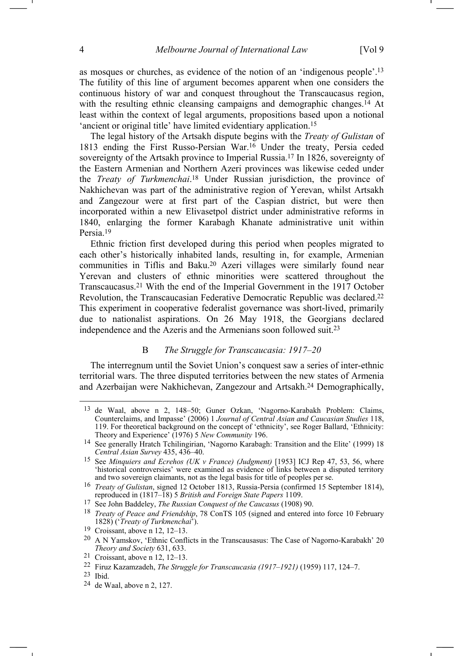as mosques or churches, as evidence of the notion of an 'indigenous people'.13 The futility of this line of argument becomes apparent when one considers the continuous history of war and conquest throughout the Transcaucasus region, with the resulting ethnic cleansing campaigns and demographic changes.<sup>14</sup> At least within the context of legal arguments, propositions based upon a notional 'ancient or original title' have limited evidentiary application.15

The legal history of the Artsakh dispute begins with the *Treaty of Gulistan* of 1813 ending the First Russo-Persian War.16 Under the treaty, Persia ceded sovereignty of the Artsakh province to Imperial Russia.17 In 1826, sovereignty of the Eastern Armenian and Northern Azeri provinces was likewise ceded under the *Treaty of Turkmenchai*. 18 Under Russian jurisdiction, the province of Nakhichevan was part of the administrative region of Yerevan, whilst Artsakh and Zangezour were at first part of the Caspian district, but were then incorporated within a new Elivasetpol district under administrative reforms in 1840, enlarging the former Karabagh Khanate administrative unit within Persia.19

Ethnic friction first developed during this period when peoples migrated to each other's historically inhabited lands, resulting in, for example, Armenian communities in Tiflis and Baku.20 Azeri villages were similarly found near Yerevan and clusters of ethnic minorities were scattered throughout the Transcaucasus.21 With the end of the Imperial Government in the 1917 October Revolution, the Transcaucasian Federative Democratic Republic was declared.22 This experiment in cooperative federalist governance was short-lived, primarily due to nationalist aspirations. On 26 May 1918, the Georgians declared independence and the Azeris and the Armenians soon followed suit.23

## B *The Struggle for Transcaucasia: 1917–20*

The interregnum until the Soviet Union's conquest saw a series of inter-ethnic territorial wars. The three disputed territories between the new states of Armenia and Azerbaijan were Nakhichevan, Zangezour and Artsakh.24 Demographically,

<sup>13</sup> de Waal, above n 2, 148–50; Guner Ozkan, 'Nagorno-Karabakh Problem: Claims, Counterclaims, and Impasse' (2006) 1 *Journal of Central Asian and Caucasian Studies* 118, 119. For theoretical background on the concept of 'ethnicity', see Roger Ballard, 'Ethnicity: Theory and Experience' (1976) 5 *New Community* 196.

<sup>14</sup> See generally Hratch Tchilingirian, 'Nagorno Karabagh: Transition and the Elite' (1999) 18 *Central Asian Survey* 435, 436–40.

<sup>&</sup>lt;sup>15</sup> See *Minquiers and Ecrehos (UK v France) (Judgment)* [1953] ICJ Rep 47, 53, 56, where 'historical controversies' were examined as evidence of links between a disputed territory and two sovereign claimants, not as the legal basis for title of peoples per se.

<sup>16</sup> *Treaty of Gulistan*, signed 12 October 1813, Russia-Persia (confirmed 15 September 1814), reproduced in (1817–18) 5 *British and Foreign State Papers* 1109.

<sup>17</sup> See John Baddeley, *The Russian Conquest of the Caucasus* (1908) 90.

<sup>18</sup> *Treaty of Peace and Friendship*, 78 ConTS 105 (signed and entered into force 10 February 1828) ('*Treaty of Turkmenchai*').

<sup>19</sup> Croissant, above n 12, 12–13.

<sup>20</sup> A N Yamskov, 'Ethnic Conflicts in the Transcausasus: The Case of Nagorno-Karabakh' 20 *Theory and Society* 631, 633.

<sup>21</sup> Croissant, above n 12, 12–13.

<sup>22</sup> Firuz Kazamzadeh, *The Struggle for Transcaucasia (1917–1921)* (1959) 117, 124–7.

<sup>23</sup> Ibid.

<sup>24</sup> de Waal, above n 2, 127.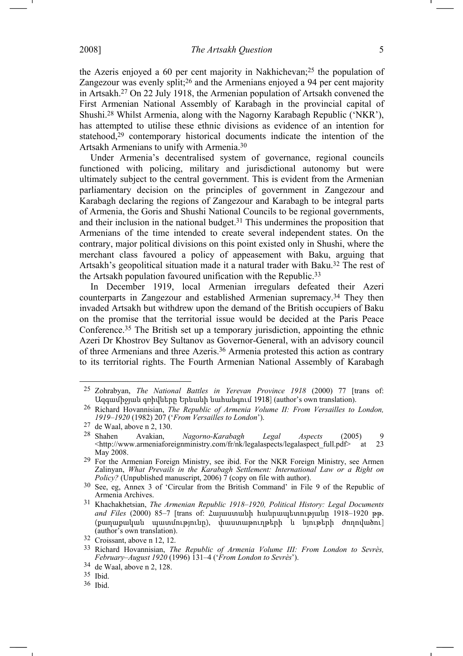the Azeris enjoyed a 60 per cent majority in Nakhichevan;25 the population of Zangezour was evenly split;<sup>26</sup> and the Armenians enjoyed a 94 per cent majority in Artsakh.27 On 22 July 1918, the Armenian population of Artsakh convened the First Armenian National Assembly of Karabagh in the provincial capital of Shushi.28 Whilst Armenia, along with the Nagorny Karabagh Republic ('NKR'), has attempted to utilise these ethnic divisions as evidence of an intention for statehood,29 contemporary historical documents indicate the intention of the Artsakh Armenians to unify with Armenia.30

Under Armenia's decentralised system of governance, regional councils functioned with policing, military and jurisdictional autonomy but were ultimately subject to the central government. This is evident from the Armenian parliamentary decision on the principles of government in Zangezour and Karabagh declaring the regions of Zangezour and Karabagh to be integral parts of Armenia, the Goris and Shushi National Councils to be regional governments, and their inclusion in the national budget.31 This undermines the proposition that Armenians of the time intended to create several independent states. On the contrary, major political divisions on this point existed only in Shushi, where the merchant class favoured a policy of appeasement with Baku, arguing that Artsakh's geopolitical situation made it a natural trader with Baku.32 The rest of the Artsakh population favoured unification with the Republic.33

In December 1919, local Armenian irregulars defeated their Azeri counterparts in Zangezour and established Armenian supremacy.34 They then invaded Artsakh but withdrew upon the demand of the British occupiers of Baku on the promise that the territorial issue would be decided at the Paris Peace Conference.35 The British set up a temporary jurisdiction, appointing the ethnic Azeri Dr Khostrov Bey Sultanov as Governor-General, with an advisory council of three Armenians and three Azeris.36 Armenia protested this action as contrary to its territorial rights. The Fourth Armenian National Assembly of Karabagh

<sup>25</sup> Zohrabyan, *The National Battles in Yerevan Province 1918* (2000) 77 [trans of: Ազգամիջյան գռիվները Երևանի նահանգում 1918] (author's own translation).

<sup>26</sup> Richard Hovannisian, *The Republic of Armenia Volume II: From Versailles to London, 1919–1920* (1982) 207 ('*From Versailles to London*').

 $27$  de Waal, above n 2, 130.<br>  $28$  Shahen Avakian,

<sup>28</sup> Shahen Avakian, *Nagorno-Karabagh Legal Aspects* (2005) 9 <http://www.armeniaforeignministry.com/fr/nk/legalaspects/legalaspect\_full.pdf> at 23 May 2008.

<sup>29</sup> For the Armenian Foreign Ministry, see ibid. For the NKR Foreign Ministry, see Armen Zalinyan, *What Prevails in the Karabagh Settlement: International Law or a Right on Policy?* (Unpublished manuscript, 2006)  $\tilde{7}$  (copy on file with author).

<sup>30</sup> See, eg, Annex 3 of 'Circular from the British Command' in File 9 of the Republic of Armenia Archives.

<sup>31</sup> Khachakhetsian, *The Armenian Republic 1918–1920, Political History: Legal Documents and Files* (2000) 85–7 [trans of: Հայաստանի հանրապետությանը 1918–1920 թթ. (քաղաքական պատմությունը), փաստաթուղթերի և նյութերի ժողովածու] (author's own translation).

<sup>32</sup> Croissant, above n 12, 12.

<sup>33</sup> Richard Hovannisian, *The Republic of Armenia Volume III: From London to Sevrès, February–August 1920* (1996) 131–4 ('*From London to Sevrès*').

<sup>34</sup> de Waal, above n 2, 128.

<sup>35</sup> Ibid.

<sup>36</sup> Ibid.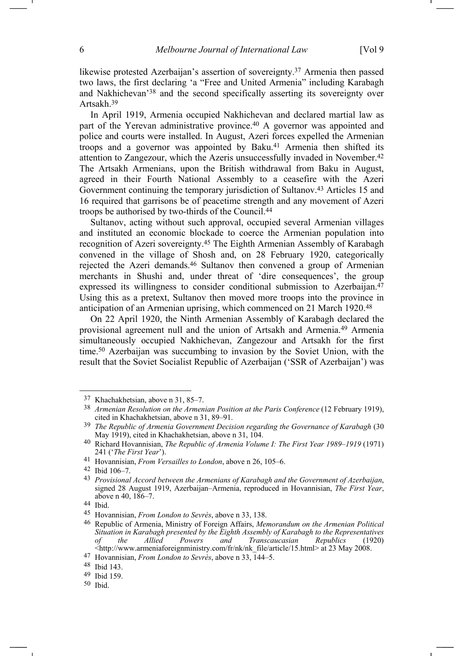likewise protested Azerbaijan's assertion of sovereignty.37 Armenia then passed two laws, the first declaring 'a "Free and United Armenia" including Karabagh and Nakhichevan'38 and the second specifically asserting its sovereignty over Artsakh.39

In April 1919, Armenia occupied Nakhichevan and declared martial law as part of the Yerevan administrative province.40 A governor was appointed and police and courts were installed. In August, Azeri forces expelled the Armenian troops and a governor was appointed by Baku.<sup>41</sup> Armenia then shifted its attention to Zangezour, which the Azeris unsuccessfully invaded in November.42 The Artsakh Armenians, upon the British withdrawal from Baku in August, agreed in their Fourth National Assembly to a ceasefire with the Azeri Government continuing the temporary jurisdiction of Sultanov.43 Articles 15 and 16 required that garrisons be of peacetime strength and any movement of Azeri troops be authorised by two-thirds of the Council.44

Sultanov, acting without such approval, occupied several Armenian villages and instituted an economic blockade to coerce the Armenian population into recognition of Azeri sovereignty.45 The Eighth Armenian Assembly of Karabagh convened in the village of Shosh and, on 28 February 1920, categorically rejected the Azeri demands.46 Sultanov then convened a group of Armenian merchants in Shushi and, under threat of 'dire consequences', the group expressed its willingness to consider conditional submission to Azerbaijan.<sup>47</sup> Using this as a pretext, Sultanov then moved more troops into the province in anticipation of an Armenian uprising, which commenced on 21 March 1920.48

On 22 April 1920, the Ninth Armenian Assembly of Karabagh declared the provisional agreement null and the union of Artsakh and Armenia.49 Armenia simultaneously occupied Nakhichevan, Zangezour and Artsakh for the first time.50 Azerbaijan was succumbing to invasion by the Soviet Union, with the result that the Soviet Socialist Republic of Azerbaijan ('SSR of Azerbaijan') was

<sup>37</sup> Khachakhetsian, above n 31, 85–7.

<sup>38</sup> *Armenian Resolution on the Armenian Position at the Paris Conference* (12 February 1919), cited in Khachakhetsian, above n 31, 89–91.

<sup>39</sup> *The Republic of Armenia Government Decision regarding the Governance of Karabagh* (30 May 1919), cited in Khachakhetsian, above n 31, 104.

<sup>40</sup> Richard Hovannisian, *The Republic of Armenia Volume I: The First Year 1989–1919* (1971) 241 ('*The First Year*').

<sup>41</sup> Hovannisian, *From Versailles to London*, above n 26, 105–6.

<sup>42</sup> Ibid 106–7.

<sup>43</sup> *Provisional Accord between the Armenians of Karabagh and the Government of Azerbaijan*, signed 28 August 1919, Azerbaijan–Armenia, reproduced in Hovannisian, *The First Year*, above n 40, 186–7.

<sup>44</sup> Ibid.

<sup>45</sup> Hovannisian, *From London to Sevrès*, above n 33, 138.

<sup>46</sup> Republic of Armenia, Ministry of Foreign Affairs, *Memorandum on the Armenian Political Situation in Karabagh presented by the Eighth Assembly of Karabagh to the Representatives of the Allied Powers and Transcaucasian*  $\langle$ http://www.armeniaforeignministry.com/fr/nk/nk\_file/article/15.html> at 23 May 2008.

<sup>47</sup> Hovannisian, *From London to Sevrès*, above n 33, 144–5.

<sup>48</sup> Ibid 143.

<sup>49</sup> Ibid 159.

<sup>50</sup> Ibid.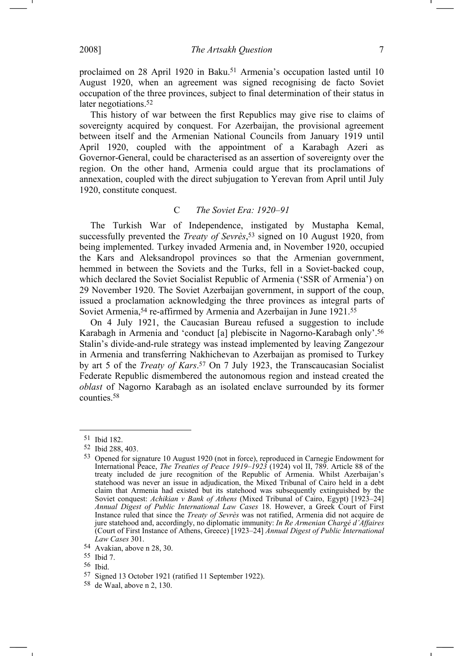proclaimed on 28 April 1920 in Baku.<sup>51</sup> Armenia's occupation lasted until 10 August 1920, when an agreement was signed recognising de facto Soviet occupation of the three provinces, subject to final determination of their status in later negotiations.<sup>52</sup>

This history of war between the first Republics may give rise to claims of sovereignty acquired by conquest. For Azerbaijan, the provisional agreement between itself and the Armenian National Councils from January 1919 until April 1920, coupled with the appointment of a Karabagh Azeri as Governor-General, could be characterised as an assertion of sovereignty over the region. On the other hand, Armenia could argue that its proclamations of annexation, coupled with the direct subjugation to Yerevan from April until July 1920, constitute conquest.

# C *The Soviet Era: 1920–91*

The Turkish War of Independence, instigated by Mustapha Kemal, successfully prevented the *Treaty of Sevrès*, 53 signed on 10 August 1920, from being implemented. Turkey invaded Armenia and, in November 1920, occupied the Kars and Aleksandropol provinces so that the Armenian government, hemmed in between the Soviets and the Turks, fell in a Soviet-backed coup, which declared the Soviet Socialist Republic of Armenia ('SSR of Armenia') on 29 November 1920. The Soviet Azerbaijan government, in support of the coup, issued a proclamation acknowledging the three provinces as integral parts of Soviet Armenia,<sup>54</sup> re-affirmed by Armenia and Azerbaijan in June 1921.<sup>55</sup>

On 4 July 1921, the Caucasian Bureau refused a suggestion to include Karabagh in Armenia and 'conduct [a] plebiscite in Nagorno-Karabagh only'.56 Stalin's divide-and-rule strategy was instead implemented by leaving Zangezour in Armenia and transferring Nakhichevan to Azerbaijan as promised to Turkey by art 5 of the *Treaty of Kars*. 57 On 7 July 1923, the Transcaucasian Socialist Federate Republic dismembered the autonomous region and instead created the *oblast* of Nagorno Karabagh as an isolated enclave surrounded by its former counties.58

<sup>51</sup> Ibid 182.

<sup>52</sup> Ibid 288, 403.

<sup>53</sup> Opened for signature 10 August 1920 (not in force), reproduced in Carnegie Endowment for International Peace, *The Treaties of Peace 1919–1923* (1924) vol II, 789. Article 88 of the treaty included de jure recognition of the Republic of Armenia. Whilst Azerbaijan's statehood was never an issue in adjudication, the Mixed Tribunal of Cairo held in a debt claim that Armenia had existed but its statehood was subsequently extinguished by the Soviet conquest: *Achikian v Bank of Athens* (Mixed Tribunal of Cairo, Egypt) [1923–24] *Annual Digest of Public International Law Cases* 18. However, a Greek Court of First Instance ruled that since the *Treaty of Sevrès* was not ratified, Armenia did not acquire de jure statehood and, accordingly, no diplomatic immunity: *In Re Armenian Chargé d'Affaires*  (Court of First Instance of Athens, Greece) [1923–24] *Annual Digest of Public International Law Cases* 301.

<sup>54</sup> Avakian, above n 28, 30.

<sup>55</sup> Ibid 7.

<sup>56</sup> Ibid.

<sup>57</sup> Signed 13 October 1921 (ratified 11 September 1922).

<sup>58</sup> de Waal, above n 2, 130.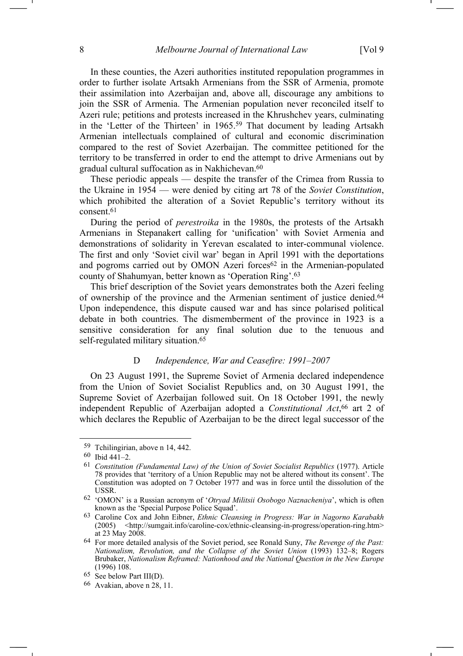In these counties, the Azeri authorities instituted repopulation programmes in order to further isolate Artsakh Armenians from the SSR of Armenia, promote their assimilation into Azerbaijan and, above all, discourage any ambitions to join the SSR of Armenia. The Armenian population never reconciled itself to Azeri rule; petitions and protests increased in the Khrushchev years, culminating in the 'Letter of the Thirteen' in 1965.59 That document by leading Artsakh Armenian intellectuals complained of cultural and economic discrimination compared to the rest of Soviet Azerbaijan. The committee petitioned for the territory to be transferred in order to end the attempt to drive Armenians out by gradual cultural suffocation as in Nakhichevan.60

These periodic appeals — despite the transfer of the Crimea from Russia to the Ukraine in 1954 — were denied by citing art 78 of the *Soviet Constitution*, which prohibited the alteration of a Soviet Republic's territory without its consent.61

During the period of *perestroika* in the 1980s, the protests of the Artsakh Armenians in Stepanakert calling for 'unification' with Soviet Armenia and demonstrations of solidarity in Yerevan escalated to inter-communal violence. The first and only 'Soviet civil war' began in April 1991 with the deportations and pogroms carried out by OMON Azeri forces<sup>62</sup> in the Armenian-populated county of Shahumyan, better known as 'Operation Ring'.63

This brief description of the Soviet years demonstrates both the Azeri feeling of ownership of the province and the Armenian sentiment of justice denied.64 Upon independence, this dispute caused war and has since polarised political debate in both countries. The dismemberment of the province in 1923 is a sensitive consideration for any final solution due to the tenuous and self-regulated military situation.65

### D *Independence, War and Ceasefire: 1991–2007*

On 23 August 1991, the Supreme Soviet of Armenia declared independence from the Union of Soviet Socialist Republics and, on 30 August 1991, the Supreme Soviet of Azerbaijan followed suit. On 18 October 1991, the newly independent Republic of Azerbaijan adopted a *Constitutional Act*, 66 art 2 of which declares the Republic of Azerbaijan to be the direct legal successor of the

<sup>59</sup> Tchilingirian, above n 14, 442.

<sup>60</sup> Ibid 441–2.

<sup>61</sup> *Constitution (Fundamental Law) of the Union of Soviet Socialist Republics* (1977). Article 78 provides that 'territory of a Union Republic may not be altered without its consent'. The Constitution was adopted on 7 October 1977 and was in force until the dissolution of the USSR.

<sup>62 &#</sup>x27;OMON' is a Russian acronym of '*Otryad Militsii Osobogo Naznacheniya*', which is often known as the 'Special Purpose Police Squad'.

<sup>63</sup> Caroline Cox and John Eibner, *Ethnic Cleansing in Progress: War in Nagorno Karabakh* (2005) <http://sumgait.info/caroline-cox/ethnic-cleansing-in-progress/operation-ring.htm> at 23 May 2008.

<sup>64</sup> For more detailed analysis of the Soviet period, see Ronald Suny, *The Revenge of the Past: Nationalism, Revolution, and the Collapse of the Soviet Union* (1993) 132–8; Rogers Brubaker, *Nationalism Reframed: Nationhood and the National Question in the New Europe* (1996) 108.

<sup>65</sup> See below Part III(D).

<sup>66</sup> Avakian, above n 28, 11.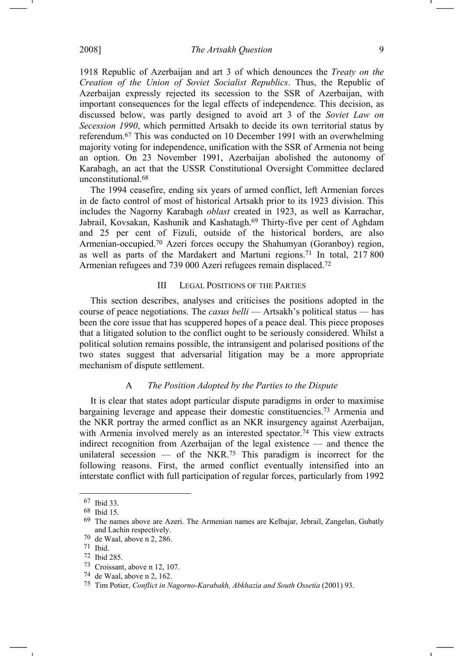1918 Republic of Azerbaijan and art 3 of which denounces the *Treaty on the Creation of the Union of Soviet Socialist Republics*. Thus, the Republic of Azerbaijan expressly rejected its secession to the SSR of Azerbaijan, with important consequences for the legal effects of independence. This decision, as discussed below, was partly designed to avoid art 3 of the *Soviet Law on Secession 1990*, which permitted Artsakh to decide its own territorial status by referendum.67 This was conducted on 10 December 1991 with an overwhelming majority voting for independence, unification with the SSR of Armenia not being an option. On 23 November 1991, Azerbaijan abolished the autonomy of Karabagh, an act that the USSR Constitutional Oversight Committee declared unconstitutional.68

The 1994 ceasefire, ending six years of armed conflict, left Armenian forces in de facto control of most of historical Artsakh prior to its 1923 division. This includes the Nagorny Karabagh *oblast* created in 1923, as well as Karrachar, Jabrail, Kovsakan, Kashunik and Kashatagh.69 Thirty-five per cent of Aghdam and 25 per cent of Fizuli, outside of the historical borders, are also Armenian-occupied.70 Azeri forces occupy the Shahumyan (Goranboy) region, as well as parts of the Mardakert and Martuni regions.71 In total, 217 800 Armenian refugees and 739 000 Azeri refugees remain displaced.72

### III LEGAL POSITIONS OF THE PARTIES

This section describes, analyses and criticises the positions adopted in the course of peace negotiations. The *casus belli* — Artsakh's political status — has been the core issue that has scuppered hopes of a peace deal. This piece proposes that a litigated solution to the conflict ought to be seriously considered. Whilst a political solution remains possible, the intransigent and polarised positions of the two states suggest that adversarial litigation may be a more appropriate mechanism of dispute settlement.

## A *The Position Adopted by the Parties to the Dispute*

It is clear that states adopt particular dispute paradigms in order to maximise bargaining leverage and appease their domestic constituencies.73 Armenia and the NKR portray the armed conflict as an NKR insurgency against Azerbaijan, with Armenia involved merely as an interested spectator.<sup>74</sup> This view extracts indirect recognition from Azerbaijan of the legal existence — and thence the unilateral secession  $-$  of the NKR.<sup>75</sup> This paradigm is incorrect for the following reasons. First, the armed conflict eventually intensified into an interstate conflict with full participation of regular forces, particularly from 1992

<sup>67</sup> Ibid 33.

 $68$  Ibid 15.<br> $69$  The nar

The names above are Azeri. The Armenian names are Kelbajar, Jebrail, Zangelan, Gubatly and Lachin respectively.

<sup>70</sup> de Waal, above n 2, 286.

<sup>71</sup> Ibid.

<sup>72</sup> Ibid 285.

<sup>73</sup> Croissant, above n 12, 107.

<sup>74</sup> de Waal, above n 2, 162.

<sup>75</sup> Tim Potier, *Conflict in Nagorno-Karabakh, Abkhazia and South Ossetia* (2001) 93.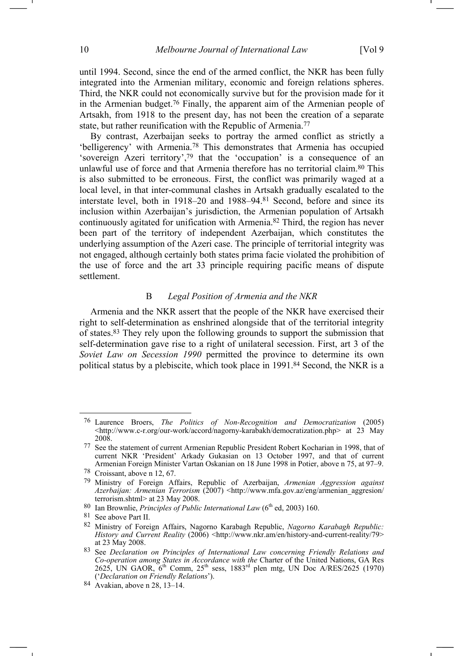until 1994. Second, since the end of the armed conflict, the NKR has been fully integrated into the Armenian military, economic and foreign relations spheres. Third, the NKR could not economically survive but for the provision made for it in the Armenian budget.76 Finally, the apparent aim of the Armenian people of Artsakh, from 1918 to the present day, has not been the creation of a separate state, but rather reunification with the Republic of Armenia.77

By contrast, Azerbaijan seeks to portray the armed conflict as strictly a 'belligerency' with Armenia.78 This demonstrates that Armenia has occupied 'sovereign Azeri territory',79 that the 'occupation' is a consequence of an unlawful use of force and that Armenia therefore has no territorial claim.80 This is also submitted to be erroneous. First, the conflict was primarily waged at a local level, in that inter-communal clashes in Artsakh gradually escalated to the interstate level, both in 1918–20 and 1988–94.81 Second, before and since its inclusion within Azerbaijan's jurisdiction, the Armenian population of Artsakh continuously agitated for unification with Armenia.82 Third, the region has never been part of the territory of independent Azerbaijan, which constitutes the underlying assumption of the Azeri case. The principle of territorial integrity was not engaged, although certainly both states prima facie violated the prohibition of the use of force and the art 33 principle requiring pacific means of dispute settlement.

# B *Legal Position of Armenia and the NKR*

Armenia and the NKR assert that the people of the NKR have exercised their right to self-determination as enshrined alongside that of the territorial integrity of states.83 They rely upon the following grounds to support the submission that self-determination gave rise to a right of unilateral secession. First, art 3 of the *Soviet Law on Secession 1990* permitted the province to determine its own political status by a plebiscite, which took place in 1991.84 Second, the NKR is a

<sup>76</sup> Laurence Broers, *The Politics of Non-Recognition and Democratization* (2005)  $\lt$ http://www.c-r.org/our-work/accord/nagorny-karabakh/democratization.php> at 23 May 2008.

<sup>77</sup> See the statement of current Armenian Republic President Robert Kocharian in 1998, that of current NKR 'President' Arkady Gukasian on 13 October 1997, and that of current Armenian Foreign Minister Vartan Oskanian on 18 June 1998 in Potier, above n 75, at 97–9.

<sup>78</sup> Croissant, above n 12, 67.

<sup>79</sup> Ministry of Foreign Affairs, Republic of Azerbaijan, *Armenian Aggression against Azerbaijan: Armenian Terrorism* (2007) <http://www.mfa.gov.az/eng/armenian\_aggresion/ terrorism.shtml> at 23 May 2008.

<sup>80</sup> Ian Brownlie, *Principles of Public International Law* (6th ed, 2003) 160.

<sup>81</sup> See above Part II.

<sup>82</sup> Ministry of Foreign Affairs, Nagorno Karabagh Republic, *Nagorno Karabagh Republic: History and Current Reality* (2006) <http://www.nkr.am/en/history-and-current-reality/79> at 23 May 2008.

<sup>83</sup> See *Declaration on Principles of International Law concerning Friendly Relations and Co-operation among States in Accordance with the* Charter of the United Nations, GA Res 2625, UN GAOR,  $6^{th}$  Comm,  $25^{th}$  sess,  $1883^{rd}$  plen mtg, UN Doc A/RES/2625 (1970) ('*Declaration on Friendly Relations*').

<sup>84</sup> Avakian, above n 28, 13–14.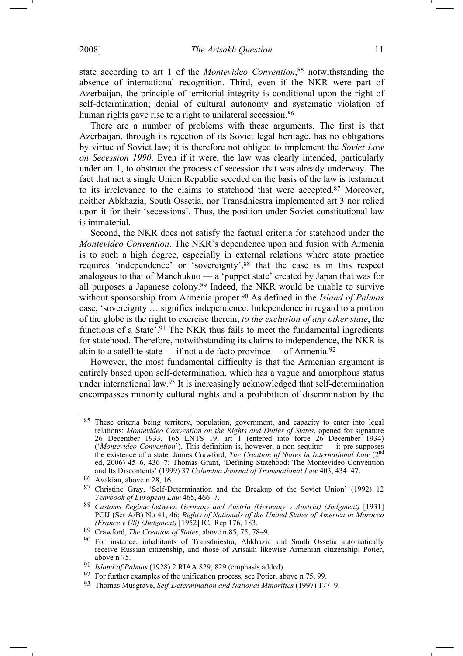state according to art 1 of the *Montevideo Convention*, 85 notwithstanding the absence of international recognition. Third, even if the NKR were part of Azerbaijan, the principle of territorial integrity is conditional upon the right of self-determination; denial of cultural autonomy and systematic violation of human rights gave rise to a right to unilateral secession.<sup>86</sup>

There are a number of problems with these arguments. The first is that Azerbaijan, through its rejection of its Soviet legal heritage, has no obligations by virtue of Soviet law; it is therefore not obliged to implement the *Soviet Law on Secession 1990*. Even if it were, the law was clearly intended, particularly under art 1, to obstruct the process of secession that was already underway. The fact that not a single Union Republic seceded on the basis of the law is testament to its irrelevance to the claims to statehood that were accepted.87 Moreover, neither Abkhazia, South Ossetia, nor Transdniestra implemented art 3 nor relied upon it for their 'secessions'. Thus, the position under Soviet constitutional law is immaterial.

Second, the NKR does not satisfy the factual criteria for statehood under the *Montevideo Convention*. The NKR's dependence upon and fusion with Armenia is to such a high degree, especially in external relations where state practice requires 'independence' or 'sovereignty',88 that the case is in this respect analogous to that of Manchukuo — a 'puppet state' created by Japan that was for all purposes a Japanese colony.89 Indeed, the NKR would be unable to survive without sponsorship from Armenia proper.90 As defined in the *Island of Palmas*  case, 'sovereignty … signifies independence. Independence in regard to a portion of the globe is the right to exercise therein, *to the exclusion of any other state*, the functions of a State'.<sup>91</sup> The NKR thus fails to meet the fundamental ingredients for statehood. Therefore, notwithstanding its claims to independence, the NKR is akin to a satellite state — if not a de facto province — of Armenia.<sup>92</sup>

However, the most fundamental difficulty is that the Armenian argument is entirely based upon self-determination, which has a vague and amorphous status under international law.93 It is increasingly acknowledged that self-determination encompasses minority cultural rights and a prohibition of discrimination by the

<sup>85</sup> These criteria being territory, population, government, and capacity to enter into legal relations: *Montevideo Convention on the Rights and Duties of States*, opened for signature 26 December 1933, 165 LNTS 19, art 1 (entered into force 26 December 1934) ('*Montevideo Convention*'). This definition is, however, a non sequitur — it pre-supposes the existence of a state: James Crawford, *The Creation of States in International Law* (2nd ed, 2006) 45–6, 436–7; Thomas Grant, 'Defining Statehood: The Montevideo Convention and Its Discontents' (1999) 37 *Columbia Journal of Transnational Law* 403, 434–47.

<sup>86</sup> Avakian, above n 28, 16.

<sup>87</sup> Christine Gray, 'Self-Determination and the Breakup of the Soviet Union' (1992) 12 *Yearbook of European Law* 465, 466–7.

<sup>88</sup> *Customs Regime between Germany and Austria (Germany v Austria) (Judgment)* [1931] PCIJ (Ser A/B) No 41, 46; *Rights of Nationals of the United States of America in Morocco (France v US) (Judgment)* [1952] ICJ Rep 176, 183.

<sup>89</sup> Crawford, *The Creation of States*, above n 85, 75, 78–9.

<sup>90</sup> For instance, inhabitants of Transdniestra, Abkhazia and South Ossetia automatically receive Russian citizenship, and those of Artsakh likewise Armenian citizenship: Potier, above n 75.

<sup>91</sup> *Island of Palmas* (1928) 2 RIAA 829, 829 (emphasis added).

<sup>92</sup> For further examples of the unification process, see Potier, above n 75, 99.

<sup>93</sup> Thomas Musgrave, *Self-Determination and National Minorities* (1997) 177–9.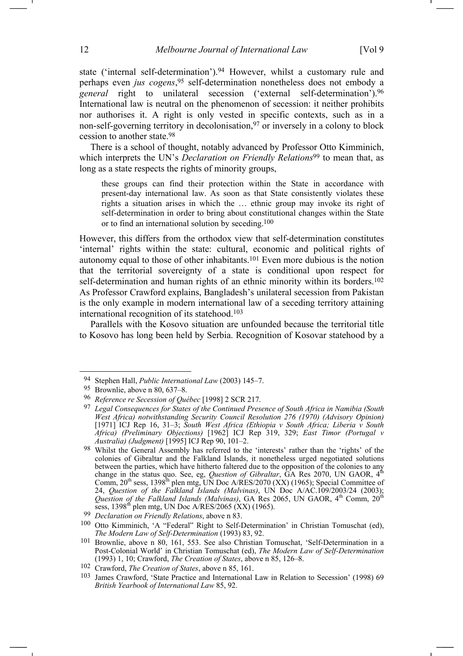state ('internal self-determination').94 However, whilst a customary rule and perhaps even *jus cogens*,95 self-determination nonetheless does not embody a *general* right to unilateral secession ('external self-determination').96 International law is neutral on the phenomenon of secession: it neither prohibits nor authorises it. A right is only vested in specific contexts, such as in a non-self-governing territory in decolonisation,<sup>97</sup> or inversely in a colony to block cession to another state.98

There is a school of thought, notably advanced by Professor Otto Kimminich, which interprets the UN's *Declaration on Friendly Relations*<sup>99</sup> to mean that, as long as a state respects the rights of minority groups,

these groups can find their protection within the State in accordance with present-day international law. As soon as that State consistently violates these rights a situation arises in which the … ethnic group may invoke its right of self-determination in order to bring about constitutional changes within the State or to find an international solution by seceding.100

However, this differs from the orthodox view that self-determination constitutes 'internal' rights within the state: cultural, economic and political rights of autonomy equal to those of other inhabitants.101 Even more dubious is the notion that the territorial sovereignty of a state is conditional upon respect for self-determination and human rights of an ethnic minority within its borders.<sup>102</sup> As Professor Crawford explains, Bangladesh's unilateral secession from Pakistan is the only example in modern international law of a seceding territory attaining international recognition of its statehood.103

Parallels with the Kosovo situation are unfounded because the territorial title to Kosovo has long been held by Serbia. Recognition of Kosovar statehood by a

<sup>94</sup> Stephen Hall, *Public International Law* (2003) 145–7.

<sup>95</sup> Brownlie, above n 80, 637–8.

<sup>96</sup> *Reference re Secession of Québec* [1998] 2 SCR 217.

<sup>97</sup> *Legal Consequences for States of the Continued Presence of South Africa in Namibia (South West Africa) notwithstanding Security Council Resolution 276 (1970) (Advisory Opinion)*  [1971] ICJ Rep 16, 31–3; *South West Africa (Ethiopia v South Africa; Liberia v South Africa) (Preliminary Objections)* [1962] ICJ Rep 319, 329; *East Timor (Portugal v Australia) (Judgment)* [1995] ICJ Rep 90, 101–2.

<sup>98</sup> Whilst the General Assembly has referred to the 'interests' rather than the 'rights' of the colonies of Gibraltar and the Falkland Islands, it nonetheless urged negotiated solutions between the parties, which have hitherto faltered due to the opposition of the colonies to any change in the status quo. See, eg, *Question of Gibraltar*, GA Res 2070, UN GAOR, 4th Comm,  $20^{th}$  sess,  $1398^{th}$  plen mtg, UN Doc A/RES/2070 (XX) (1965); Special Committee of 24, *Question of the Falkland Islands (Malvinas)*, UN Doc A/AC.109/2003/24 (2003); *Question of the Falkland Islands (Malvinas)*, GA Res 2065, UN GAOR, 4th Comm, 20th sess, 1398<sup>th</sup> plen mtg, UN Doc A/RES/2065 (XX) (1965).

<sup>99</sup> *Declaration on Friendly Relations*, above n 83.

<sup>100</sup> Otto Kimminich, 'A "Federal" Right to Self-Determination' in Christian Tomuschat (ed), *The Modern Law of Self-Determination* (1993) 83, 92.

<sup>101</sup> Brownlie, above n 80, 161, 553. See also Christian Tomuschat, 'Self-Determination in a Post-Colonial World' in Christian Tomuschat (ed), *The Modern Law of Self-Determination*  (1993) 1, 10; Crawford, *The Creation of States*, above n 85, 126–8.

<sup>102</sup> Crawford, *The Creation of States*, above n 85, 161.

<sup>103</sup> James Crawford, 'State Practice and International Law in Relation to Secession' (1998) 69 *British Yearbook of International Law* 85, 92.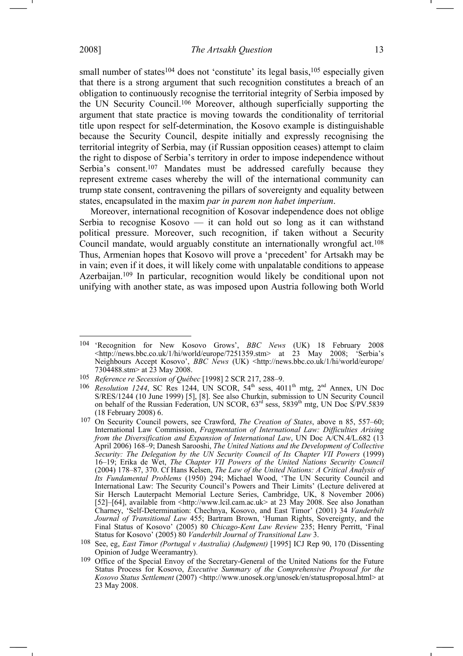$\overline{a}$ 

small number of states<sup>104</sup> does not 'constitute' its legal basis,<sup>105</sup> especially given that there is a strong argument that such recognition constitutes a breach of an obligation to continuously recognise the territorial integrity of Serbia imposed by the UN Security Council.106 Moreover, although superficially supporting the argument that state practice is moving towards the conditionality of territorial title upon respect for self-determination, the Kosovo example is distinguishable because the Security Council, despite initially and expressly recognising the territorial integrity of Serbia, may (if Russian opposition ceases) attempt to claim the right to dispose of Serbia's territory in order to impose independence without Serbia's consent.<sup>107</sup> Mandates must be addressed carefully because they represent extreme cases whereby the will of the international community can trump state consent, contravening the pillars of sovereignty and equality between states, encapsulated in the maxim *par in parem non habet imperium*.

Moreover, international recognition of Kosovar independence does not oblige Serbia to recognise Kosovo — it can hold out so long as it can withstand political pressure. Moreover, such recognition, if taken without a Security Council mandate, would arguably constitute an internationally wrongful act.108 Thus, Armenian hopes that Kosovo will prove a 'precedent' for Artsakh may be in vain; even if it does, it will likely come with unpalatable conditions to appease Azerbaijan.109 In particular, recognition would likely be conditional upon not unifying with another state, as was imposed upon Austria following both World

<sup>104 &#</sup>x27;Recognition for New Kosovo Grows', *BBC News* (UK) 18 February 2008  $\langle \frac{\text{http://news.bbc.co.uk/1/hi/world/europe/7251359.stm> at 23 May 2008; 'Serbia's}$ Neighbours Accept Kosovo', *BBC News* (UK) <http://news.bbc.co.uk/1/hi/world/europe/ 7304488.stm> at 23 May 2008.

<sup>105</sup> *Reference re Secession of Québec* [1998] 2 SCR 217, 288–9.

 $106$  *Resolution 1244*, SC Res 1244, UN SCOR,  $54<sup>th</sup>$  sess,  $4011<sup>th</sup>$  mtg,  $2<sup>nd</sup>$  Annex, UN Doc S/RES/1244 (10 June 1999) [5], [8]. See also Churkin, submission to UN Security Council on behalf of the Russian Federation, UN SCOR,  $63^{rd}$  sess,  $5839^{th}$  mtg, UN Doc S/PV.5839 (18 February 2008) 6.

<sup>107</sup> On Security Council powers, see Crawford, *The Creation of States*, above n 85, 557–60; International Law Commission, *Fragmentation of International Law: Difficulties Arising from the Diversification and Expansion of International Law*, UN Doc A/CN.4/L.682 (13 April 2006) 168–9; Danesh Sarooshi, *The United Nations and the Development of Collective Security: The Delegation by the UN Security Council of Its Chapter VII Powers* (1999) 16–19; Erika de Wet, *The Chapter VII Powers of the United Nations Security Council* (2004) 178–87, 370. Cf Hans Kelsen, *The Law of the United Nations: A Critical Analysis of Its Fundamental Problems* (1950) 294; Michael Wood, 'The UN Security Council and International Law: The Security Council's Powers and Their Limits' (Lecture delivered at Sir Hersch Lauterpacht Memorial Lecture Series, Cambridge, UK, 8 November 2006) [52]–[64], available from <http://www.lcil.cam.ac.uk> at 23 May 2008. See also Jonathan Charney, 'Self-Determination: Chechnya, Kosovo, and East Timor' (2001) 34 *Vanderbilt Journal of Transitional Law* 455; Bartram Brown, 'Human Rights, Sovereignty, and the Final Status of Kosovo' (2005) 80 *Chicago-Kent Law Review* 235; Henry Perritt, 'Final Status for Kosovo' (2005) 80 *Vanderbilt Journal of Transitional Law* 3.

<sup>108</sup> See, eg, *East Timor (Portugal v Australia) (Judgment)* [1995] ICJ Rep 90, 170 (Dissenting Opinion of Judge Weeramantry).

<sup>&</sup>lt;sup>109</sup> Office of the Special Envoy of the Secretary-General of the United Nations for the Future Status Process for Kosovo, *Executive Summary of the Comprehensive Proposal for the Kosovo Status Settlement* (2007) <http://www.unosek.org/unosek/en/statusproposal.html> at 23 May 2008.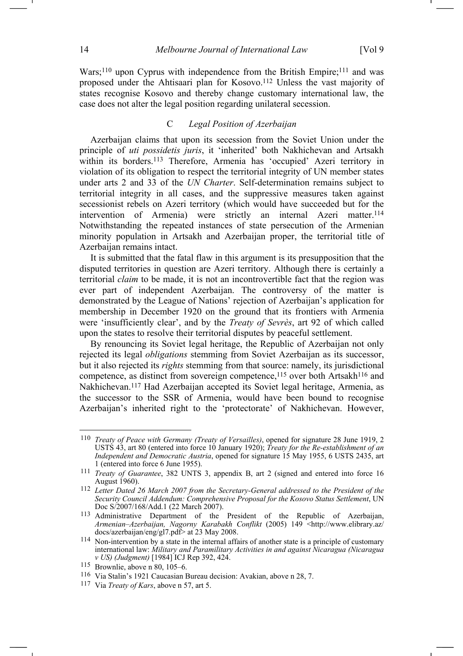Wars;<sup>110</sup> upon Cyprus with independence from the British Empire;<sup>111</sup> and was proposed under the Ahtisaari plan for Kosovo.112 Unless the vast majority of states recognise Kosovo and thereby change customary international law, the case does not alter the legal position regarding unilateral secession.

# C *Legal Position of Azerbaijan*

Azerbaijan claims that upon its secession from the Soviet Union under the principle of *uti possidetis juris*, it 'inherited' both Nakhichevan and Artsakh within its borders.<sup>113</sup> Therefore, Armenia has 'occupied' Azeri territory in violation of its obligation to respect the territorial integrity of UN member states under arts 2 and 33 of the *UN Charter*. Self-determination remains subject to territorial integrity in all cases, and the suppressive measures taken against secessionist rebels on Azeri territory (which would have succeeded but for the intervention of Armenia) were strictly an internal Azeri matter.<sup>114</sup> Notwithstanding the repeated instances of state persecution of the Armenian minority population in Artsakh and Azerbaijan proper, the territorial title of Azerbaijan remains intact.

It is submitted that the fatal flaw in this argument is its presupposition that the disputed territories in question are Azeri territory. Although there is certainly a territorial *claim* to be made, it is not an incontrovertible fact that the region was ever part of independent Azerbaijan. The controversy of the matter is demonstrated by the League of Nations' rejection of Azerbaijan's application for membership in December 1920 on the ground that its frontiers with Armenia were 'insufficiently clear', and by the *Treaty of Sevrès*, art 92 of which called upon the states to resolve their territorial disputes by peaceful settlement.

By renouncing its Soviet legal heritage, the Republic of Azerbaijan not only rejected its legal *obligations* stemming from Soviet Azerbaijan as its successor, but it also rejected its *rights* stemming from that source: namely, its jurisdictional competence, as distinct from sovereign competence,<sup>115</sup> over both Artsakh<sup>116</sup> and Nakhichevan.117 Had Azerbaijan accepted its Soviet legal heritage, Armenia, as the successor to the SSR of Armenia, would have been bound to recognise Azerbaijan's inherited right to the 'protectorate' of Nakhichevan. However,

<sup>110</sup> *Treaty of Peace with Germany (Treaty of Versailles)*, opened for signature 28 June 1919, 2 USTS 43, art 80 (entered into force 10 January 1920); *Treaty for the Re-establishment of an Independent and Democratic Austria*, opened for signature 15 May 1955, 6 USTS 2435, art 1 (entered into force 6 June 1955).

<sup>111</sup> *Treaty of Guarantee*, 382 UNTS 3, appendix B, art 2 (signed and entered into force 16 August 1960).

<sup>112</sup> *Letter Dated 26 March 2007 from the Secretary-General addressed to the President of the Security Council Addendum: Comprehensive Proposal for the Kosovo Status Settlement*, UN Doc S/2007/168/Add.1 (22 March 2007).

<sup>113</sup> Administrative Department of the President of the Republic of Azerbaijan, *Armenian–Azerbaijan, Nagorny Karabakh Conflikt* (2005) 149 <http://www.elibrary.az/ docs/azerbaijan/eng/gl7.pdf> at 23 May 2008.

<sup>114</sup> Non-intervention by a state in the internal affairs of another state is a principle of customary international law: *Military and Paramilitary Activities in and against Nicaragua (Nicaragua v US) (Judgment)* [1984] ICJ Rep 392, 424.

<sup>115</sup> Brownlie, above n 80, 105–6.

<sup>116</sup> Via Stalin's 1921 Caucasian Bureau decision: Avakian, above n 28, 7.

<sup>117</sup> Via *Treaty of Kars*, above n 57, art 5.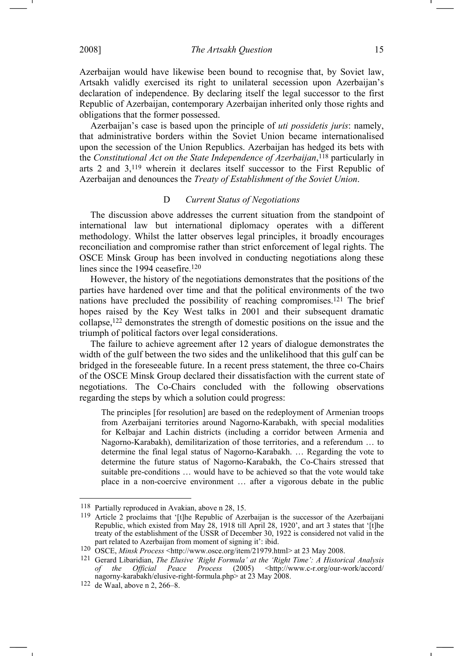2008] *The Artsakh Question* 15

Azerbaijan would have likewise been bound to recognise that, by Soviet law, Artsakh validly exercised its right to unilateral secession upon Azerbaijan's declaration of independence. By declaring itself the legal successor to the first Republic of Azerbaijan, contemporary Azerbaijan inherited only those rights and obligations that the former possessed.

Azerbaijan's case is based upon the principle of *uti possidetis juris*: namely, that administrative borders within the Soviet Union became internationalised upon the secession of the Union Republics. Azerbaijan has hedged its bets with the *Constitutional Act on the State Independence of Azerbaijan*, 118 particularly in arts 2 and 3,119 wherein it declares itself successor to the First Republic of Azerbaijan and denounces the *Treaty of Establishment of the Soviet Union*.

## D *Current Status of Negotiations*

The discussion above addresses the current situation from the standpoint of international law but international diplomacy operates with a different methodology. Whilst the latter observes legal principles, it broadly encourages reconciliation and compromise rather than strict enforcement of legal rights. The OSCE Minsk Group has been involved in conducting negotiations along these lines since the 1994 ceasefire.<sup>120</sup>

However, the history of the negotiations demonstrates that the positions of the parties have hardened over time and that the political environments of the two nations have precluded the possibility of reaching compromises.121 The brief hopes raised by the Key West talks in 2001 and their subsequent dramatic collapse,122 demonstrates the strength of domestic positions on the issue and the triumph of political factors over legal considerations.

The failure to achieve agreement after 12 years of dialogue demonstrates the width of the gulf between the two sides and the unlikelihood that this gulf can be bridged in the foreseeable future. In a recent press statement, the three co-Chairs of the OSCE Minsk Group declared their dissatisfaction with the current state of negotiations. The Co-Chairs concluded with the following observations regarding the steps by which a solution could progress:

The principles [for resolution] are based on the redeployment of Armenian troops from Azerbaijani territories around Nagorno-Karabakh, with special modalities for Kelbajar and Lachin districts (including a corridor between Armenia and Nagorno-Karabakh), demilitarization of those territories, and a referendum … to determine the final legal status of Nagorno-Karabakh. … Regarding the vote to determine the future status of Nagorno-Karabakh, the Co-Chairs stressed that suitable pre-conditions … would have to be achieved so that the vote would take place in a non-coercive environment … after a vigorous debate in the public

<sup>118</sup> Partially reproduced in Avakian, above n 28, 15.

<sup>119</sup> Article 2 proclaims that '[t]he Republic of Azerbaijan is the successor of the Azerbaijani Republic, which existed from May 28, 1918 till April 28, 1920', and art 3 states that '[t]he treaty of the establishment of the USSR of December 30, 1922 is considered not valid in the part related to Azerbaijan from moment of signing it': ibid.

<sup>120</sup> OSCE, *Minsk Process* <http://www.osce.org/item/21979.html> at 23 May 2008.

<sup>121</sup> Gerard Libaridian, *The Elusive 'Right Formula' at the 'Right Time': A Historical Analysis of the Official Peace Process* (2005) <http://www.c-r.org/our-work/accord/ nagorny-karabakh/elusive-right-formula.php> at 23 May 2008.

<sup>122</sup> de Waal, above n 2, 266–8.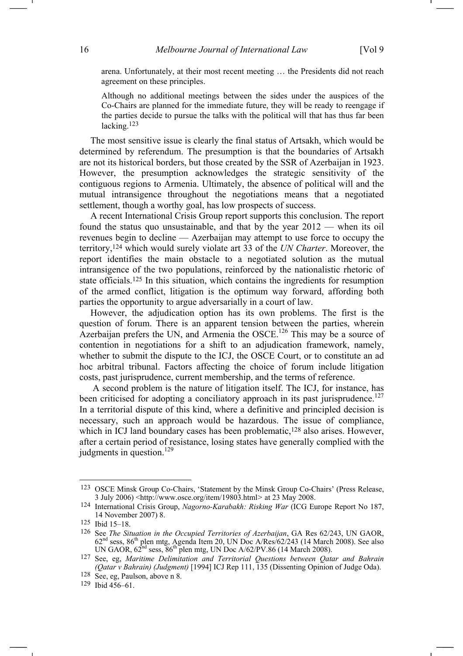arena. Unfortunately, at their most recent meeting … the Presidents did not reach agreement on these principles.

Although no additional meetings between the sides under the auspices of the Co-Chairs are planned for the immediate future, they will be ready to reengage if the parties decide to pursue the talks with the political will that has thus far been lacking.<sup>123</sup>

The most sensitive issue is clearly the final status of Artsakh, which would be determined by referendum. The presumption is that the boundaries of Artsakh are not its historical borders, but those created by the SSR of Azerbaijan in 1923. However, the presumption acknowledges the strategic sensitivity of the contiguous regions to Armenia. Ultimately, the absence of political will and the mutual intransigence throughout the negotiations means that a negotiated settlement, though a worthy goal, has low prospects of success.

A recent International Crisis Group report supports this conclusion. The report found the status quo unsustainable, and that by the year 2012 — when its oil revenues begin to decline — Azerbaijan may attempt to use force to occupy the territory,124 which would surely violate art 33 of the *UN Charter*. Moreover, the report identifies the main obstacle to a negotiated solution as the mutual intransigence of the two populations, reinforced by the nationalistic rhetoric of state officials.125 In this situation, which contains the ingredients for resumption of the armed conflict, litigation is the optimum way forward, affording both parties the opportunity to argue adversarially in a court of law.

However, the adjudication option has its own problems. The first is the question of forum. There is an apparent tension between the parties, wherein Azerbaijan prefers the UN, and Armenia the OSCE.<sup>126</sup> This may be a source of contention in negotiations for a shift to an adjudication framework, namely, whether to submit the dispute to the ICJ, the OSCE Court, or to constitute an ad hoc arbitral tribunal. Factors affecting the choice of forum include litigation costs, past jurisprudence, current membership, and the terms of reference.

 A second problem is the nature of litigation itself. The ICJ, for instance, has been criticised for adopting a conciliatory approach in its past jurisprudence.<sup>127</sup> In a territorial dispute of this kind, where a definitive and principled decision is necessary, such an approach would be hazardous. The issue of compliance, which in ICJ land boundary cases has been problematic,<sup>128</sup> also arises. However, after a certain period of resistance, losing states have generally complied with the judgments in question. $^{129}$ 

<sup>123</sup> OSCE Minsk Group Co-Chairs, 'Statement by the Minsk Group Co-Chairs' (Press Release, 3 July 2006) <http://www.osce.org/item/19803.html*>* at 23 May 2008.

<sup>124</sup> International Crisis Group, *Nagorno-Karabakh: Risking War* (ICG Europe Report No 187, 14 November 2007) 8.

<sup>125</sup> Ibid 15–18.

<sup>126</sup> See *The Situation in the Occupied Territories of Azerbaijan*, GA Res 62/243, UN GAOR,  $62<sup>nd</sup>$  sess,  $86<sup>th</sup>$  plen mtg, Agenda Item 20, UN Doc A/Res/62/243 (14 March 2008). See also UN GAOR,  $62^{\text{nd}}$  sess,  $86^{\text{th}}$  plen mtg, UN Doc A/62/PV.86 (14 March 2008).

<sup>127</sup> See, eg, *Maritime Delimitation and Territorial Questions between Qatar and Bahrain (Qatar v Bahrain) (Judgment)* [1994] ICJ Rep 111, 135 (Dissenting Opinion of Judge Oda).

<sup>128</sup> See, eg, Paulson, above n 8.

<sup>129</sup> Ibid 456–61.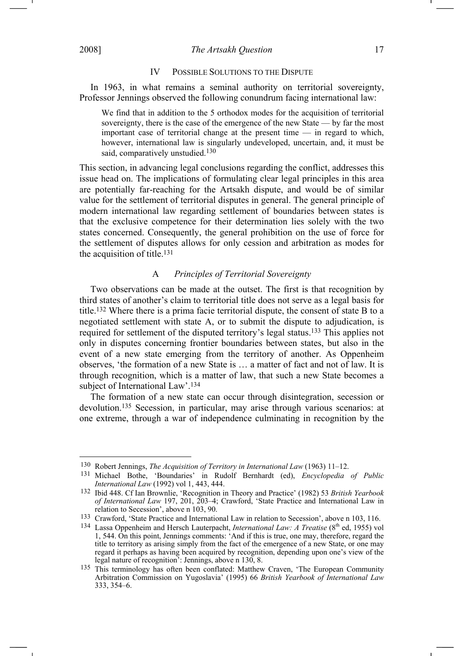2008] *The Artsakh Question* 17

 $\overline{a}$ 

### IV POSSIBLE SOLUTIONS TO THE DISPUTE

In 1963, in what remains a seminal authority on territorial sovereignty, Professor Jennings observed the following conundrum facing international law:

We find that in addition to the 5 orthodox modes for the acquisition of territorial sovereignty, there is the case of the emergence of the new State — by far the most important case of territorial change at the present time — in regard to which, however, international law is singularly undeveloped, uncertain, and, it must be said, comparatively unstudied.<sup>130</sup>

This section, in advancing legal conclusions regarding the conflict, addresses this issue head on. The implications of formulating clear legal principles in this area are potentially far-reaching for the Artsakh dispute, and would be of similar value for the settlement of territorial disputes in general. The general principle of modern international law regarding settlement of boundaries between states is that the exclusive competence for their determination lies solely with the two states concerned. Consequently, the general prohibition on the use of force for the settlement of disputes allows for only cession and arbitration as modes for the acquisition of title.131

## A *Principles of Territorial Sovereignty*

Two observations can be made at the outset. The first is that recognition by third states of another's claim to territorial title does not serve as a legal basis for title.132 Where there is a prima facie territorial dispute, the consent of state B to a negotiated settlement with state A, or to submit the dispute to adjudication, is required for settlement of the disputed territory's legal status.133 This applies not only in disputes concerning frontier boundaries between states, but also in the event of a new state emerging from the territory of another. As Oppenheim observes, 'the formation of a new State is … a matter of fact and not of law. It is through recognition, which is a matter of law, that such a new State becomes a subject of International Law'.134

The formation of a new state can occur through disintegration, secession or devolution.135 Secession, in particular, may arise through various scenarios: at one extreme, through a war of independence culminating in recognition by the

<sup>130</sup> Robert Jennings, *The Acquisition of Territory in International Law* (1963) 11–12.

<sup>131</sup> Michael Bothe, 'Boundaries' in Rudolf Bernhardt (ed), *Encyclopedia of Public International Law* (1992) vol 1, 443, 444.

<sup>132</sup> Ibid 448. Cf Ian Brownlie, 'Recognition in Theory and Practice' (1982) 53 *British Yearbook of International Law* 197, 201, 203–4; Crawford, 'State Practice and International Law in relation to Secession', above n 103, 90.

<sup>133</sup> Crawford, 'State Practice and International Law in relation to Secession', above n 103, 116.

<sup>&</sup>lt;sup>134</sup> Lassa Oppenheim and Hersch Lauterpacht, *International Law: A Treatise* (8<sup>th</sup> ed, 1955) vol 1, 544. On this point, Jennings comments: 'And if this is true, one may, therefore, regard the title to territory as arising simply from the fact of the emergence of a new State, or one may regard it perhaps as having been acquired by recognition, depending upon one's view of the legal nature of recognition': Jennings, above n 130, 8.

<sup>135</sup> This terminology has often been conflated: Matthew Craven, 'The European Community Arbitration Commission on Yugoslavia' (1995) 66 *British Yearbook of International Law*  333, 354–6.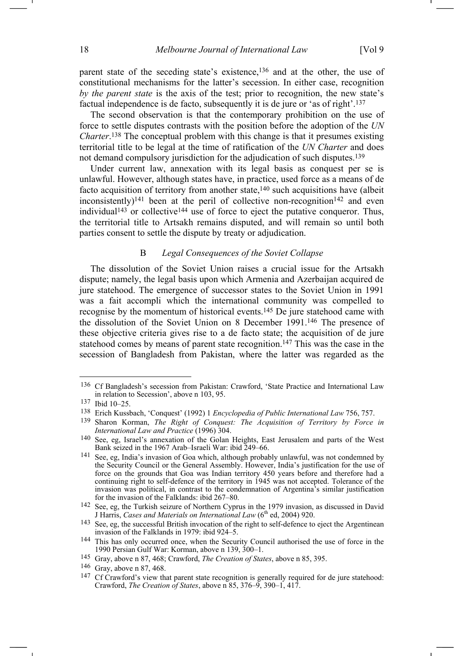parent state of the seceding state's existence,<sup>136</sup> and at the other, the use of constitutional mechanisms for the latter's secession. In either case, recognition *by the parent state* is the axis of the test; prior to recognition, the new state's factual independence is de facto, subsequently it is de jure or 'as of right'.137

The second observation is that the contemporary prohibition on the use of force to settle disputes contrasts with the position before the adoption of the *UN Charter*. 138 The conceptual problem with this change is that it presumes existing territorial title to be legal at the time of ratification of the *UN Charter* and does not demand compulsory jurisdiction for the adjudication of such disputes.139

Under current law, annexation with its legal basis as conquest per se is unlawful. However, although states have, in practice, used force as a means of de facto acquisition of territory from another state,<sup>140</sup> such acquisitions have (albeit inconsistently)<sup>141</sup> been at the peril of collective non-recognition<sup>142</sup> and even individual<sup>143</sup> or collective<sup>144</sup> use of force to eject the putative conqueror. Thus, the territorial title to Artsakh remains disputed, and will remain so until both parties consent to settle the dispute by treaty or adjudication.

# B *Legal Consequences of the Soviet Collapse*

The dissolution of the Soviet Union raises a crucial issue for the Artsakh dispute; namely, the legal basis upon which Armenia and Azerbaijan acquired de jure statehood. The emergence of successor states to the Soviet Union in 1991 was a fait accompli which the international community was compelled to recognise by the momentum of historical events.145 De jure statehood came with the dissolution of the Soviet Union on 8 December 1991.146 The presence of these objective criteria gives rise to a de facto state; the acquisition of de jure statehood comes by means of parent state recognition.<sup>147</sup> This was the case in the secession of Bangladesh from Pakistan, where the latter was regarded as the

<sup>136</sup> Cf Bangladesh's secession from Pakistan: Crawford, 'State Practice and International Law in relation to Secession', above n 103, 95.

<sup>137</sup> Ibid 10–25.

<sup>138</sup> Erich Kussbach, 'Conquest' (1992) 1 *Encyclopedia of Public International Law* 756, 757.

<sup>139</sup> Sharon Korman, *The Right of Conquest: The Acquisition of Territory by Force in International Law and Practice* (1996) 304.

<sup>140</sup> See, eg, Israel's annexation of the Golan Heights, East Jerusalem and parts of the West Bank seized in the 1967 Arab–Israeli War: ibid 249–66.

<sup>141</sup> See, eg, India's invasion of Goa which, although probably unlawful, was not condemned by the Security Council or the General Assembly. However, India's justification for the use of force on the grounds that Goa was Indian territory 450 years before and therefore had a continuing right to self-defence of the territory in 1945 was not accepted. Tolerance of the invasion was political, in contrast to the condemnation of Argentina's similar justification for the invasion of the Falklands: ibid 267–80.

<sup>142</sup> See, eg, the Turkish seizure of Northern Cyprus in the 1979 invasion, as discussed in David J Harris, *Cases and Materials on International Law* (6<sup>th</sup> ed, 2004) 920.

<sup>143</sup> See, eg, the successful British invocation of the right to self-defence to eject the Argentinean invasion of the Falklands in 1979: ibid 924–5.

<sup>144</sup> This has only occurred once, when the Security Council authorised the use of force in the 1990 Persian Gulf War: Korman, above n 139, 300–1.

<sup>145</sup> Gray, above n 87, 468; Crawford, *The Creation of States*, above n 85, 395.

<sup>146</sup> Gray, above n 87, 468.

<sup>&</sup>lt;sup>147</sup> Cf Crawford's view that parent state recognition is generally required for de jure statehood: Crawford, *The Creation of States*, above n 85, 376–9, 390–1, 417.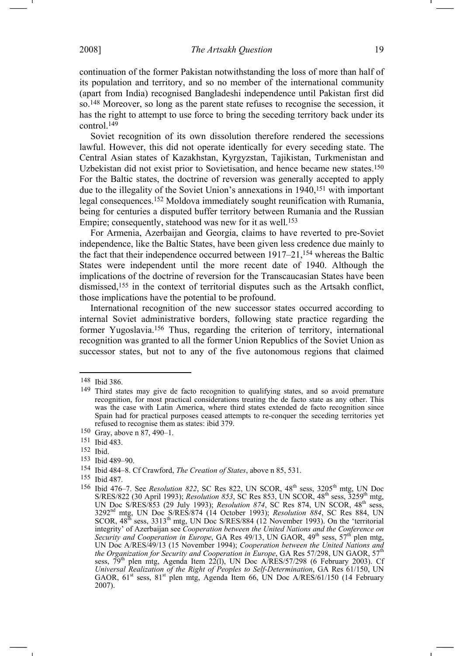continuation of the former Pakistan notwithstanding the loss of more than half of its population and territory, and so no member of the international community (apart from India) recognised Bangladeshi independence until Pakistan first did so.148 Moreover, so long as the parent state refuses to recognise the secession, it has the right to attempt to use force to bring the seceding territory back under its control.149

Soviet recognition of its own dissolution therefore rendered the secessions lawful. However, this did not operate identically for every seceding state. The Central Asian states of Kazakhstan, Kyrgyzstan, Tajikistan, Turkmenistan and Uzbekistan did not exist prior to Sovietisation, and hence became new states.150 For the Baltic states, the doctrine of reversion was generally accepted to apply due to the illegality of the Soviet Union's annexations in 1940,151 with important legal consequences.152 Moldova immediately sought reunification with Rumania, being for centuries a disputed buffer territory between Rumania and the Russian Empire; consequently, statehood was new for it as well.<sup>153</sup>

For Armenia, Azerbaijan and Georgia, claims to have reverted to pre-Soviet independence, like the Baltic States, have been given less credence due mainly to the fact that their independence occurred between  $1917-21$ ,  $154$  whereas the Baltic States were independent until the more recent date of 1940. Although the implications of the doctrine of reversion for the Transcaucasian States have been dismissed,155 in the context of territorial disputes such as the Artsakh conflict, those implications have the potential to be profound.

International recognition of the new successor states occurred according to internal Soviet administrative borders, following state practice regarding the former Yugoslavia.156 Thus, regarding the criterion of territory, international recognition was granted to all the former Union Republics of the Soviet Union as successor states, but not to any of the five autonomous regions that claimed

 $\overline{a}$ 

- 152 Ibid.
- 153 Ibid 489–90.

155 Ibid 487.

<sup>148</sup> Ibid 386.

<sup>149</sup> Third states may give de facto recognition to qualifying states, and so avoid premature recognition, for most practical considerations treating the de facto state as any other. This was the case with Latin America, where third states extended de facto recognition since Spain had for practical purposes ceased attempts to re-conquer the seceding territories yet refused to recognise them as states: ibid 379.

<sup>150</sup> Gray, above n 87, 490–1.

<sup>151</sup> Ibid 483.

<sup>154</sup> Ibid 484–8. Cf Crawford, *The Creation of States*, above n 85, 531.

<sup>156</sup> Ibid 476–7. See *Resolution 822*, SC Res 822, UN SCOR, 48<sup>th</sup> sess, 3205<sup>th</sup> mtg, UN Doc S/RES/822 (30 April 1993); *Resolution 853*, SC Res 853, UN SCOR, 48<sup>th</sup> sess, 3259<sup>th</sup> mtg, UN Doc S/RES/853 (29 July 1993); *Resolution 874*, SC Res 874, UN SCOR, 48th sess, 3292nd mtg, UN Doc S/RES/874 (14 October 1993); *Resolution 884*, SC Res 884, UN SCOR,  $48^{\text{th}}$  sess,  $3313^{\text{th}}$  mtg, UN Doc S/RES/884 (12 November 1993). On the 'territorial integrity' of Azerbaijan see *Cooperation between the United Nations and the Conference on Security and Cooperation in Europe*, GA Res 49/13, UN GAOR, 49<sup>th</sup> sess, 57<sup>th</sup> plen mtg, UN Doc A/RES/49/13 (15 November 1994); *Cooperation between the United Nations and the Organization for Security and Cooperation in Europe*, GA Res 57/298, UN GAOR, 57<sup>th</sup> sess,  $79<sup>th</sup>$  plen mtg, Agenda Item 22(1), UN Doc A/RES/57/298 (6 February 2003). Cf *Universal Realization of the Right of Peoples to Self-Determination*, GA Res 61/150, UN GAOR,  $61<sup>st</sup>$  sess,  $81<sup>st</sup>$  plen mtg, Agenda Item 66, UN Doc A/RES/61/150 (14 February 2007).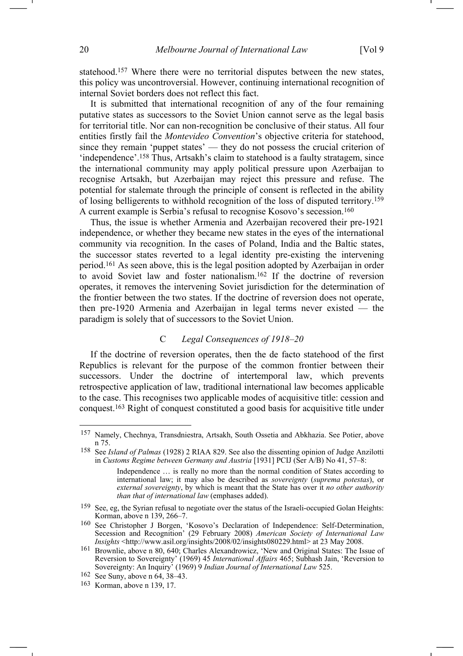statehood.157 Where there were no territorial disputes between the new states, this policy was uncontroversial. However, continuing international recognition of internal Soviet borders does not reflect this fact.

It is submitted that international recognition of any of the four remaining putative states as successors to the Soviet Union cannot serve as the legal basis for territorial title. Nor can non-recognition be conclusive of their status. All four entities firstly fail the *Montevideo Convention*'s objective criteria for statehood, since they remain 'puppet states' — they do not possess the crucial criterion of 'independence'.158 Thus, Artsakh's claim to statehood is a faulty stratagem, since the international community may apply political pressure upon Azerbaijan to recognise Artsakh, but Azerbaijan may reject this pressure and refuse. The potential for stalemate through the principle of consent is reflected in the ability of losing belligerents to withhold recognition of the loss of disputed territory.159 A current example is Serbia's refusal to recognise Kosovo's secession.160

Thus, the issue is whether Armenia and Azerbaijan recovered their pre-1921 independence, or whether they became new states in the eyes of the international community via recognition. In the cases of Poland, India and the Baltic states, the successor states reverted to a legal identity pre-existing the intervening period.161 As seen above, this is the legal position adopted by Azerbaijan in order to avoid Soviet law and foster nationalism.162 If the doctrine of reversion operates, it removes the intervening Soviet jurisdiction for the determination of the frontier between the two states. If the doctrine of reversion does not operate, then pre-1920 Armenia and Azerbaijan in legal terms never existed — the paradigm is solely that of successors to the Soviet Union.

## C *Legal Consequences of 1918–20*

If the doctrine of reversion operates, then the de facto statehood of the first Republics is relevant for the purpose of the common frontier between their successors. Under the doctrine of intertemporal law, which prevents retrospective application of law, traditional international law becomes applicable to the case. This recognises two applicable modes of acquisitive title: cession and conquest.163 Right of conquest constituted a good basis for acquisitive title under

<sup>157</sup> Namely, Chechnya, Transdniestra, Artsakh, South Ossetia and Abkhazia. See Potier, above n 75.

<sup>158</sup> See *Island of Palmas* (1928) 2 RIAA 829. See also the dissenting opinion of Judge Anzilotti in *Customs Regime between Germany and Austria* [1931] PCIJ (Ser A/B) No 41, 57–8:

Independence … is really no more than the normal condition of States according to international law; it may also be described as *sovereignty* (*suprema potestas*), or *external sovereignty*, by which is meant that the State has over it *no other authority than that of international law* (emphases added).

<sup>159</sup> See, eg, the Syrian refusal to negotiate over the status of the Israeli-occupied Golan Heights: Korman, above n 139, 266–7.

<sup>160</sup> See Christopher J Borgen, 'Kosovo's Declaration of Independence: Self-Determination, Secession and Recognition' (29 February 2008) *American Society of International Law Insights* <http://www.asil.org/insights/2008/02/insights080229.html> at 23 May 2008.

<sup>161</sup> Brownlie, above n 80, 640; Charles Alexandrowicz, 'New and Original States: The Issue of Reversion to Sovereignty' (1969) 45 *International Affairs* 465; Subhash Jain, 'Reversion to Sovereignty: An Inquiry' (1969) 9 *Indian Journal of International Law* 525.

<sup>162</sup> See Suny, above n 64, 38–43.

<sup>163</sup> Korman, above n 139, 17.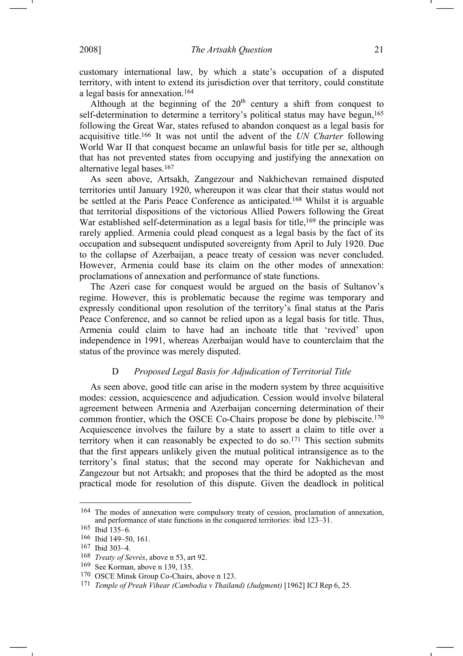customary international law, by which a state's occupation of a disputed territory, with intent to extend its jurisdiction over that territory, could constitute a legal basis for annexation.164

Although at the beginning of the  $20<sup>th</sup>$  century a shift from conquest to self-determination to determine a territory's political status may have begun,<sup>165</sup> following the Great War, states refused to abandon conquest as a legal basis for acquisitive title.166 It was not until the advent of the *UN Charter* following World War II that conquest became an unlawful basis for title per se, although that has not prevented states from occupying and justifying the annexation on alternative legal bases.167

As seen above, Artsakh, Zangezour and Nakhichevan remained disputed territories until January 1920, whereupon it was clear that their status would not be settled at the Paris Peace Conference as anticipated.168 Whilst it is arguable that territorial dispositions of the victorious Allied Powers following the Great War established self-determination as a legal basis for title,<sup>169</sup> the principle was rarely applied. Armenia could plead conquest as a legal basis by the fact of its occupation and subsequent undisputed sovereignty from April to July 1920. Due to the collapse of Azerbaijan, a peace treaty of cession was never concluded. However, Armenia could base its claim on the other modes of annexation: proclamations of annexation and performance of state functions.

The Azeri case for conquest would be argued on the basis of Sultanov's regime. However, this is problematic because the regime was temporary and expressly conditional upon resolution of the territory's final status at the Paris Peace Conference, and so cannot be relied upon as a legal basis for title. Thus, Armenia could claim to have had an inchoate title that 'revived' upon independence in 1991, whereas Azerbaijan would have to counterclaim that the status of the province was merely disputed.

# D *Proposed Legal Basis for Adjudication of Territorial Title*

As seen above, good title can arise in the modern system by three acquisitive modes: cession, acquiescence and adjudication. Cession would involve bilateral agreement between Armenia and Azerbaijan concerning determination of their common frontier, which the OSCE Co-Chairs propose be done by plebiscite.170 Acquiescence involves the failure by a state to assert a claim to title over a territory when it can reasonably be expected to do so.171 This section submits that the first appears unlikely given the mutual political intransigence as to the territory's final status; that the second may operate for Nakhichevan and Zangezour but not Artsakh; and proposes that the third be adopted as the most practical mode for resolution of this dispute. Given the deadlock in political

<sup>164</sup> The modes of annexation were compulsory treaty of cession, proclamation of annexation, and performance of state functions in the conquered territories: ibid 123–31.

<sup>165</sup> Ibid 135–6.

<sup>166</sup> Ibid 149–50, 161.

<sup>167</sup> Ibid 303–4.

<sup>168</sup> *Treaty of Sevrès*, above n 53, art 92.

<sup>169</sup> See Korman, above n 139, 135.

<sup>170</sup> OSCE Minsk Group Co-Chairs, above n 123.

<sup>171</sup> *Temple of Preah Vihear (Cambodia v Thailand) (Judgment)* [1962] ICJ Rep 6, 25.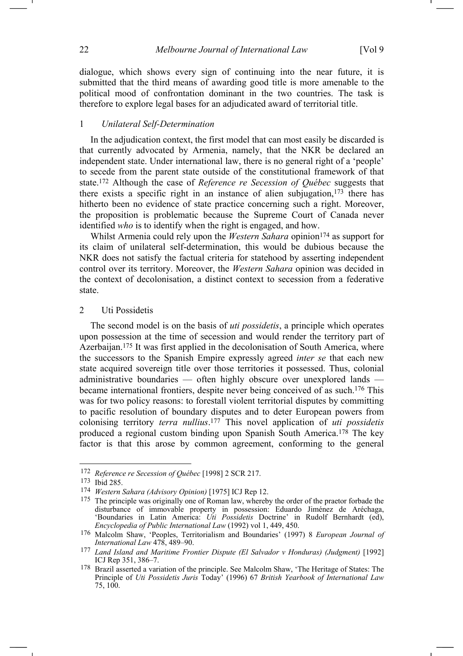dialogue, which shows every sign of continuing into the near future, it is submitted that the third means of awarding good title is more amenable to the political mood of confrontation dominant in the two countries. The task is therefore to explore legal bases for an adjudicated award of territorial title.

### 1 *Unilateral Self-Determination*

In the adjudication context, the first model that can most easily be discarded is that currently advocated by Armenia, namely, that the NKR be declared an independent state. Under international law, there is no general right of a 'people' to secede from the parent state outside of the constitutional framework of that state.172 Although the case of *Reference re Secession of Québec* suggests that there exists a specific right in an instance of alien subjugation, $173$  there has hitherto been no evidence of state practice concerning such a right. Moreover, the proposition is problematic because the Supreme Court of Canada never identified *who* is to identify when the right is engaged, and how.

Whilst Armenia could rely upon the *Western Sahara* opinion<sup>174</sup> as support for its claim of unilateral self-determination, this would be dubious because the NKR does not satisfy the factual criteria for statehood by asserting independent control over its territory. Moreover, the *Western Sahara* opinion was decided in the context of decolonisation, a distinct context to secession from a federative state.

### 2 Uti Possidetis

The second model is on the basis of *uti possidetis*, a principle which operates upon possession at the time of secession and would render the territory part of Azerbaijan.175 It was first applied in the decolonisation of South America, where the successors to the Spanish Empire expressly agreed *inter se* that each new state acquired sovereign title over those territories it possessed. Thus, colonial administrative boundaries — often highly obscure over unexplored lands became international frontiers, despite never being conceived of as such.176 This was for two policy reasons: to forestall violent territorial disputes by committing to pacific resolution of boundary disputes and to deter European powers from colonising territory *terra nullius*. 177 This novel application of *uti possidetis*  produced a regional custom binding upon Spanish South America.178 The key factor is that this arose by common agreement, conforming to the general

<sup>172</sup> *Reference re Secession of Québec* [1998] 2 SCR 217.

<sup>173</sup> Ibid 285.

<sup>174</sup> *Western Sahara (Advisory Opinion)* [1975] ICJ Rep 12.

<sup>&</sup>lt;sup>175</sup> The principle was originally one of Roman law, whereby the order of the praetor forbade the disturbance of immovable property in possession: Eduardo Jiménez de Aréchaga, 'Boundaries in Latin America: *Uti Possidetis* Doctrine' in Rudolf Bernhardt (ed), *Encyclopedia of Public International Law* (1992) vol 1, 449, 450.

<sup>176</sup> Malcolm Shaw, 'Peoples, Territorialism and Boundaries' (1997) 8 *European Journal of International Law* 478, 489–90.

<sup>177</sup> *Land Island and Maritime Frontier Dispute (El Salvador v Honduras) (Judgment)* [1992] ICJ Rep 351, 386–7.

<sup>178</sup> Brazil asserted a variation of the principle. See Malcolm Shaw, 'The Heritage of States: The Principle of *Uti Possidetis Juris* Today' (1996) 67 *British Yearbook of International Law*  75, 100.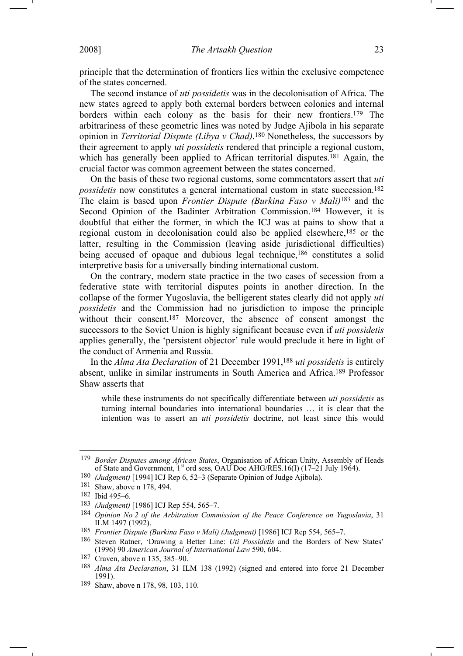principle that the determination of frontiers lies within the exclusive competence of the states concerned.

The second instance of *uti possidetis* was in the decolonisation of Africa. The new states agreed to apply both external borders between colonies and internal borders within each colony as the basis for their new frontiers.179 The arbitrariness of these geometric lines was noted by Judge Ajibola in his separate opinion in *Territorial Dispute (Libya v Chad)*.180 Nonetheless, the successors by their agreement to apply *uti possidetis* rendered that principle a regional custom, which has generally been applied to African territorial disputes.<sup>181</sup> Again, the crucial factor was common agreement between the states concerned.

On the basis of these two regional customs, some commentators assert that *uti possidetis* now constitutes a general international custom in state succession.<sup>182</sup> The claim is based upon *Frontier Dispute (Burkina Faso v Mali)*183 and the Second Opinion of the Badinter Arbitration Commission.<sup>184</sup> However, it is doubtful that either the former, in which the ICJ was at pains to show that a regional custom in decolonisation could also be applied elsewhere,185 or the latter, resulting in the Commission (leaving aside jurisdictional difficulties) being accused of opaque and dubious legal technique,<sup>186</sup> constitutes a solid interpretive basis for a universally binding international custom.

On the contrary, modern state practice in the two cases of secession from a federative state with territorial disputes points in another direction. In the collapse of the former Yugoslavia, the belligerent states clearly did not apply *uti possidetis* and the Commission had no jurisdiction to impose the principle without their consent.<sup>187</sup> Moreover, the absence of consent amongst the successors to the Soviet Union is highly significant because even if *uti possidetis*  applies generally, the 'persistent objector' rule would preclude it here in light of the conduct of Armenia and Russia.

In the *Alma Ata Declaration* of 21 December 1991,<sup>188</sup> *uti possidetis* is entirely absent, unlike in similar instruments in South America and Africa.189 Professor Shaw asserts that

while these instruments do not specifically differentiate between *uti possidetis* as turning internal boundaries into international boundaries … it is clear that the intention was to assert an *uti possidetis* doctrine, not least since this would

<sup>179</sup> *Border Disputes among African States*, Organisation of African Unity, Assembly of Heads of State and Government, 1<sup>st</sup> ord sess, OAU Doc AHG/RES.16(I) (17-21 July 1964).

<sup>180</sup> *(Judgment)* [1994] ICJ Rep 6, 52–3 (Separate Opinion of Judge Ajibola).

<sup>181</sup> Shaw, above n 178, 494.

<sup>182</sup> Ibid 495–6.

<sup>183</sup> *(Judgment)* [1986] ICJ Rep 554, 565–7.

<sup>184</sup> *Opinion No 2 of the Arbitration Commission of the Peace Conference on Yugoslavia*, 31 ILM 1497 (1992).

<sup>185</sup> *Frontier Dispute (Burkina Faso v Mali) (Judgment)* [1986] ICJ Rep 554, 565–7.

<sup>186</sup> Steven Ratner, 'Drawing a Better Line: *Uti Possidetis* and the Borders of New States' (1996) 90 *American Journal of International Law* 590, 604.

<sup>187</sup> Craven, above n 135, 385–90.

<sup>188</sup> *Alma Ata Declaration*, 31 ILM 138 (1992) (signed and entered into force 21 December 1991).

<sup>189</sup> Shaw, above n 178, 98, 103, 110.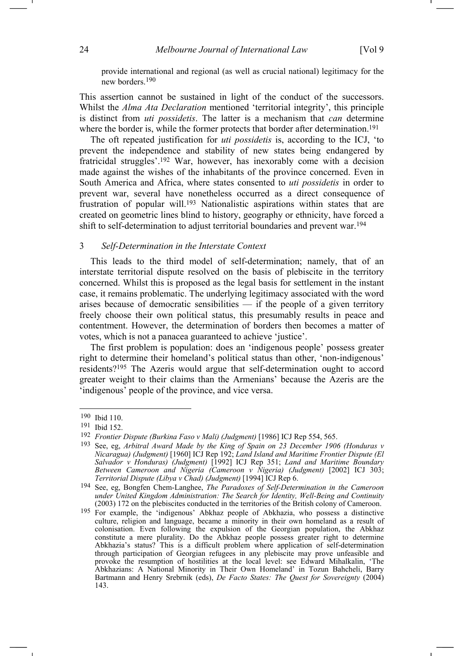provide international and regional (as well as crucial national) legitimacy for the new borders.190

This assertion cannot be sustained in light of the conduct of the successors. Whilst the *Alma Ata Declaration* mentioned 'territorial integrity', this principle is distinct from *uti possidetis*. The latter is a mechanism that *can* determine where the border is, while the former protects that border after determination.<sup>191</sup>

The oft repeated justification for *uti possidetis* is, according to the ICJ, 'to prevent the independence and stability of new states being endangered by fratricidal struggles'.192 War, however, has inexorably come with a decision made against the wishes of the inhabitants of the province concerned. Even in South America and Africa, where states consented to *uti possidetis* in order to prevent war, several have nonetheless occurred as a direct consequence of frustration of popular will.193 Nationalistic aspirations within states that are created on geometric lines blind to history, geography or ethnicity, have forced a shift to self-determination to adjust territorial boundaries and prevent war.194

### 3 *Self-Determination in the Interstate Context*

This leads to the third model of self-determination; namely, that of an interstate territorial dispute resolved on the basis of plebiscite in the territory concerned. Whilst this is proposed as the legal basis for settlement in the instant case, it remains problematic. The underlying legitimacy associated with the word arises because of democratic sensibilities  $-$  if the people of a given territory freely choose their own political status, this presumably results in peace and contentment. However, the determination of borders then becomes a matter of votes, which is not a panacea guaranteed to achieve 'justice'.

The first problem is population: does an 'indigenous people' possess greater right to determine their homeland's political status than other, 'non-indigenous' residents?195 The Azeris would argue that self-determination ought to accord greater weight to their claims than the Armenians' because the Azeris are the 'indigenous' people of the province, and vice versa.

<sup>190</sup> Ibid 110.

<sup>191</sup> Ibid 152.

<sup>192</sup> *Frontier Dispute (Burkina Faso v Mali) (Judgment)* [1986] ICJ Rep 554, 565.

<sup>193</sup> See, eg, *Arbitral Award Made by the King of Spain on 23 December 1906 (Honduras v Nicaragua) (Judgment)* [1960] ICJ Rep 192; *Land Island and Maritime Frontier Dispute (El Salvador v Honduras) (Judgment)* [1992] ICJ Rep 351; *Land and Maritime Boundary Between Cameroon and Nigeria (Cameroon v Nigeria) (Judgment)* [2002] ICJ 303; *Territorial Dispute (Libya v Chad) (Judgment)* [1994] ICJ Rep 6.

<sup>194</sup> See, eg, Bongfen Chem-Langhee, *The Paradoxes of Self-Determination in the Cameroon under United Kingdom Administration: The Search for Identity, Well-Being and Continuity*  (2003) 172 on the plebiscites conducted in the territories of the British colony of Cameroon.

<sup>&</sup>lt;sup>195</sup> For example, the 'indigenous' Abkhaz people of Abkhazia, who possess a distinctive culture, religion and language, became a minority in their own homeland as a result of colonisation. Even following the expulsion of the Georgian population, the Abkhaz constitute a mere plurality. Do the Abkhaz people possess greater right to determine Abkhazia's status? This is a difficult problem where application of self-determination through participation of Georgian refugees in any plebiscite may prove unfeasible and provoke the resumption of hostilities at the local level: see Edward Mihalkalin, 'The Abkhazians: A National Minority in Their Own Homeland' in Tozun Bahcheli, Barry Bartmann and Henry Srebrnik (eds), *De Facto States: The Quest for Sovereignty* (2004) 143.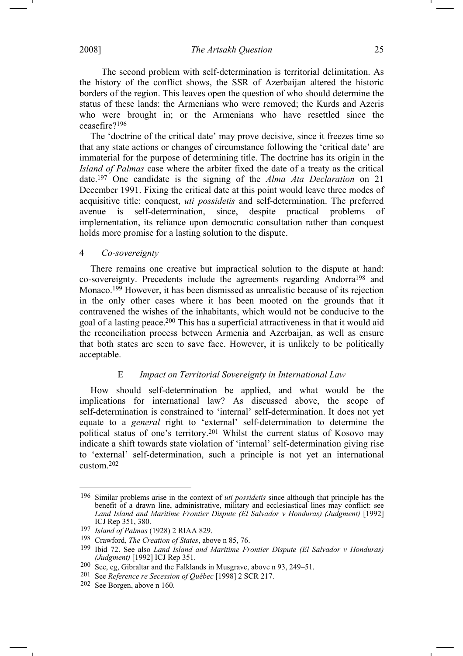2008] *The Artsakh Question* 25

 The second problem with self-determination is territorial delimitation. As the history of the conflict shows, the SSR of Azerbaijan altered the historic borders of the region. This leaves open the question of who should determine the status of these lands: the Armenians who were removed; the Kurds and Azeris who were brought in; or the Armenians who have resettled since the ceasefire?196

The 'doctrine of the critical date' may prove decisive, since it freezes time so that any state actions or changes of circumstance following the 'critical date' are immaterial for the purpose of determining title. The doctrine has its origin in the *Island of Palmas* case where the arbiter fixed the date of a treaty as the critical date.197 One candidate is the signing of the *Alma Ata Declaration* on 21 December 1991. Fixing the critical date at this point would leave three modes of acquisitive title: conquest, *uti possidetis* and self-determination. The preferred avenue is self-determination, since, despite practical problems of implementation, its reliance upon democratic consultation rather than conquest holds more promise for a lasting solution to the dispute.

# 4 *Co-sovereignty*

There remains one creative but impractical solution to the dispute at hand: co-sovereignty. Precedents include the agreements regarding Andorra198 and Monaco.199 However, it has been dismissed as unrealistic because of its rejection in the only other cases where it has been mooted on the grounds that it contravened the wishes of the inhabitants, which would not be conducive to the goal of a lasting peace.200 This has a superficial attractiveness in that it would aid the reconciliation process between Armenia and Azerbaijan, as well as ensure that both states are seen to save face. However, it is unlikely to be politically acceptable.

## E *Impact on Territorial Sovereignty in International Law*

How should self-determination be applied, and what would be the implications for international law? As discussed above, the scope of self-determination is constrained to 'internal' self-determination. It does not yet equate to a *general* right to 'external' self-determination to determine the political status of one's territory.201 Whilst the current status of Kosovo may indicate a shift towards state violation of 'internal' self-determination giving rise to 'external' self-determination, such a principle is not yet an international custom.202

<sup>196</sup> Similar problems arise in the context of *uti possidetis* since although that principle has the benefit of a drawn line, administrative, military and ecclesiastical lines may conflict: see *Land Island and Maritime Frontier Dispute (El Salvador v Honduras) (Judgment)* [1992] ICJ Rep 351, 380.

<sup>197</sup> *Island of Palmas* (1928) 2 RIAA 829.

<sup>198</sup> Crawford, *The Creation of States*, above n 85, 76.

<sup>199</sup> Ibid 72. See also *Land Island and Maritime Frontier Dispute (El Salvador v Honduras) (Judgment)* [1992] ICJ Rep 351.

<sup>200</sup> See, eg, Gibraltar and the Falklands in Musgrave, above n 93, 249–51.

<sup>201</sup> See *Reference re Secession of Québec* [1998] 2 SCR 217.

<sup>202</sup> See Borgen, above n 160.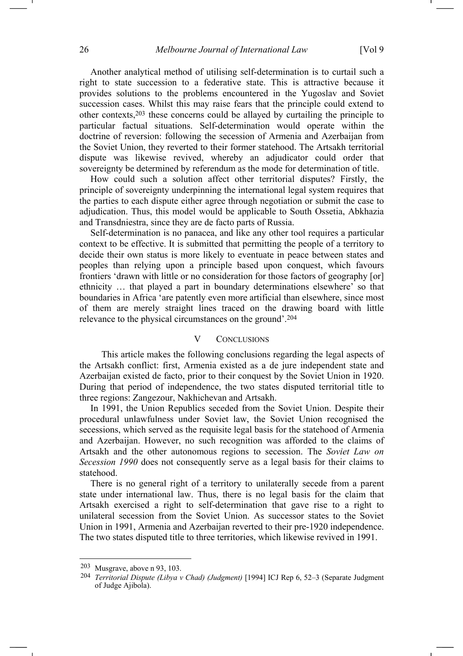Another analytical method of utilising self-determination is to curtail such a right to state succession to a federative state. This is attractive because it provides solutions to the problems encountered in the Yugoslav and Soviet succession cases. Whilst this may raise fears that the principle could extend to other contexts,203 these concerns could be allayed by curtailing the principle to particular factual situations. Self-determination would operate within the doctrine of reversion: following the secession of Armenia and Azerbaijan from the Soviet Union, they reverted to their former statehood. The Artsakh territorial dispute was likewise revived, whereby an adjudicator could order that sovereignty be determined by referendum as the mode for determination of title.

How could such a solution affect other territorial disputes? Firstly, the principle of sovereignty underpinning the international legal system requires that the parties to each dispute either agree through negotiation or submit the case to adjudication. Thus, this model would be applicable to South Ossetia, Abkhazia and Transdniestra, since they are de facto parts of Russia.

Self-determination is no panacea, and like any other tool requires a particular context to be effective. It is submitted that permitting the people of a territory to decide their own status is more likely to eventuate in peace between states and peoples than relying upon a principle based upon conquest, which favours frontiers 'drawn with little or no consideration for those factors of geography [or] ethnicity … that played a part in boundary determinations elsewhere' so that boundaries in Africa 'are patently even more artificial than elsewhere, since most of them are merely straight lines traced on the drawing board with little relevance to the physical circumstances on the ground'.204

### V CONCLUSIONS

 This article makes the following conclusions regarding the legal aspects of the Artsakh conflict: first, Armenia existed as a de jure independent state and Azerbaijan existed de facto, prior to their conquest by the Soviet Union in 1920. During that period of independence, the two states disputed territorial title to three regions: Zangezour, Nakhichevan and Artsakh.

In 1991, the Union Republics seceded from the Soviet Union. Despite their procedural unlawfulness under Soviet law, the Soviet Union recognised the secessions, which served as the requisite legal basis for the statehood of Armenia and Azerbaijan. However, no such recognition was afforded to the claims of Artsakh and the other autonomous regions to secession. The *Soviet Law on Secession 1990* does not consequently serve as a legal basis for their claims to statehood.

There is no general right of a territory to unilaterally secede from a parent state under international law. Thus, there is no legal basis for the claim that Artsakh exercised a right to self-determination that gave rise to a right to unilateral secession from the Soviet Union. As successor states to the Soviet Union in 1991, Armenia and Azerbaijan reverted to their pre-1920 independence. The two states disputed title to three territories, which likewise revived in 1991.

<sup>203</sup> Musgrave, above n 93, 103.

<sup>204</sup> *Territorial Dispute (Libya v Chad) (Judgment)* [1994] ICJ Rep 6, 52–3 (Separate Judgment of Judge Ajibola).